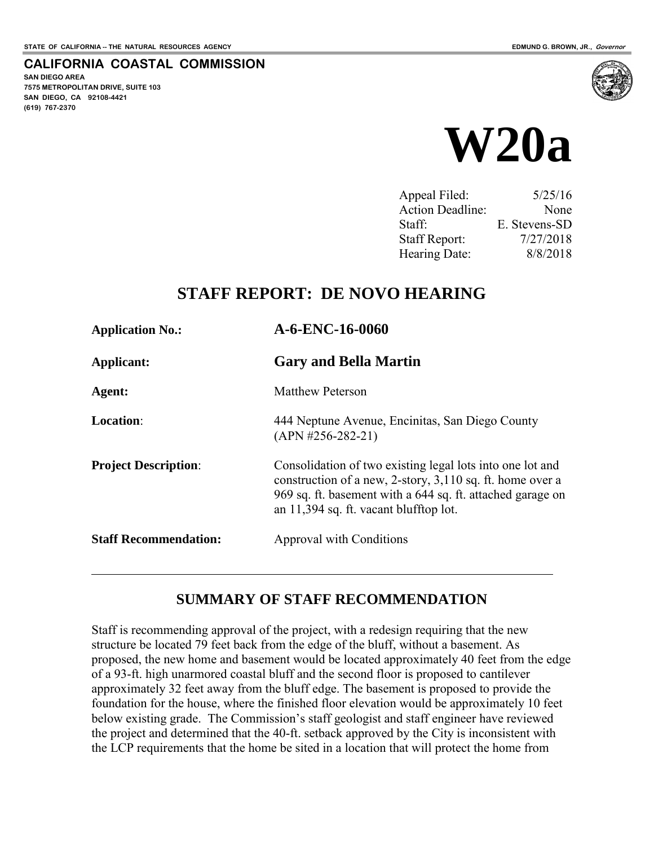**SAN DIEGO AREA** 

**(619) 767-2370**

**7575 METROPOLITAN DRIVE, SUITE 103 SAN DIEGO, CA 92108-4421**

**CALIFORNIA COASTAL COMMISSION** 



| Appeal Filed:        | 5/25/16       |
|----------------------|---------------|
| Action Deadline:     | None          |
| Staff:               | E. Stevens-SD |
| <b>Staff Report:</b> | 7/27/2018     |
| Hearing Date:        | 8/8/2018      |

## **STAFF REPORT: DE NOVO HEARING**

| <b>Application No.:</b>      | A-6-ENC-16-0060                                                                                                                                                                                                                |  |  |  |
|------------------------------|--------------------------------------------------------------------------------------------------------------------------------------------------------------------------------------------------------------------------------|--|--|--|
| Applicant:                   | <b>Gary and Bella Martin</b>                                                                                                                                                                                                   |  |  |  |
| Agent:                       | <b>Matthew Peterson</b>                                                                                                                                                                                                        |  |  |  |
| <b>Location:</b>             | 444 Neptune Avenue, Encinitas, San Diego County<br>$(APN #256-282-21)$                                                                                                                                                         |  |  |  |
| <b>Project Description:</b>  | Consolidation of two existing legal lots into one lot and<br>construction of a new, 2-story, 3,110 sq. ft. home over a<br>969 sq. ft. basement with a 644 sq. ft. attached garage on<br>an 11,394 sq. ft. vacant blufftop lot. |  |  |  |
| <b>Staff Recommendation:</b> | Approval with Conditions                                                                                                                                                                                                       |  |  |  |

### **SUMMARY OF STAFF RECOMMENDATION**

Staff is recommending approval of the project, with a redesign requiring that the new structure be located 79 feet back from the edge of the bluff, without a basement. As proposed, the new home and basement would be located approximately 40 feet from the edge of a 93-ft. high unarmored coastal bluff and the second floor is proposed to cantilever approximately 32 feet away from the bluff edge. The basement is proposed to provide the foundation for the house, where the finished floor elevation would be approximately 10 feet below existing grade. The Commission's staff geologist and staff engineer have reviewed the project and determined that the 40-ft. setback approved by the City is inconsistent with the LCP requirements that the home be sited in a location that will protect the home from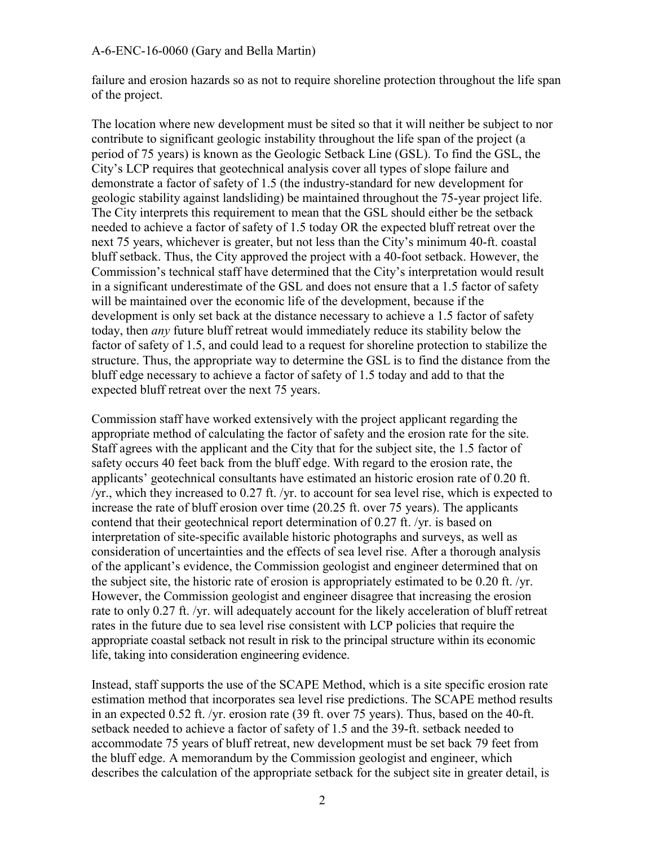failure and erosion hazards so as not to require shoreline protection throughout the life span of the project.

The location where new development must be sited so that it will neither be subject to nor contribute to significant geologic instability throughout the life span of the project (a period of 75 years) is known as the Geologic Setback Line (GSL). To find the GSL, the City's LCP requires that geotechnical analysis cover all types of slope failure and demonstrate a factor of safety of 1.5 (the industry-standard for new development for geologic stability against landsliding) be maintained throughout the 75-year project life. The City interprets this requirement to mean that the GSL should either be the setback needed to achieve a factor of safety of 1.5 today OR the expected bluff retreat over the next 75 years, whichever is greater, but not less than the City's minimum 40-ft. coastal bluff setback. Thus, the City approved the project with a 40-foot setback. However, the Commission's technical staff have determined that the City's interpretation would result in a significant underestimate of the GSL and does not ensure that a 1.5 factor of safety will be maintained over the economic life of the development, because if the development is only set back at the distance necessary to achieve a 1.5 factor of safety today, then *any* future bluff retreat would immediately reduce its stability below the factor of safety of 1.5, and could lead to a request for shoreline protection to stabilize the structure. Thus, the appropriate way to determine the GSL is to find the distance from the bluff edge necessary to achieve a factor of safety of 1.5 today and add to that the expected bluff retreat over the next 75 years.

Commission staff have worked extensively with the project applicant regarding the appropriate method of calculating the factor of safety and the erosion rate for the site. Staff agrees with the applicant and the City that for the subject site, the 1.5 factor of safety occurs 40 feet back from the bluff edge. With regard to the erosion rate, the applicants' geotechnical consultants have estimated an historic erosion rate of 0.20 ft. /yr., which they increased to 0.27 ft. /yr. to account for sea level rise, which is expected to increase the rate of bluff erosion over time (20.25 ft. over 75 years). The applicants contend that their geotechnical report determination of 0.27 ft. /yr. is based on interpretation of site-specific available historic photographs and surveys, as well as consideration of uncertainties and the effects of sea level rise. After a thorough analysis of the applicant's evidence, the Commission geologist and engineer determined that on the subject site, the historic rate of erosion is appropriately estimated to be 0.20 ft. /yr. However, the Commission geologist and engineer disagree that increasing the erosion rate to only 0.27 ft. /yr. will adequately account for the likely acceleration of bluff retreat rates in the future due to sea level rise consistent with LCP policies that require the appropriate coastal setback not result in risk to the principal structure within its economic life, taking into consideration engineering evidence.

Instead, staff supports the use of the SCAPE Method, which is a site specific erosion rate estimation method that incorporates sea level rise predictions. The SCAPE method results in an expected 0.52 ft. /yr. erosion rate (39 ft. over 75 years). Thus, based on the 40-ft. setback needed to achieve a factor of safety of 1.5 and the 39-ft. setback needed to accommodate 75 years of bluff retreat, new development must be set back 79 feet from the bluff edge. A memorandum by the Commission geologist and engineer, which describes the calculation of the appropriate setback for the subject site in greater detail, is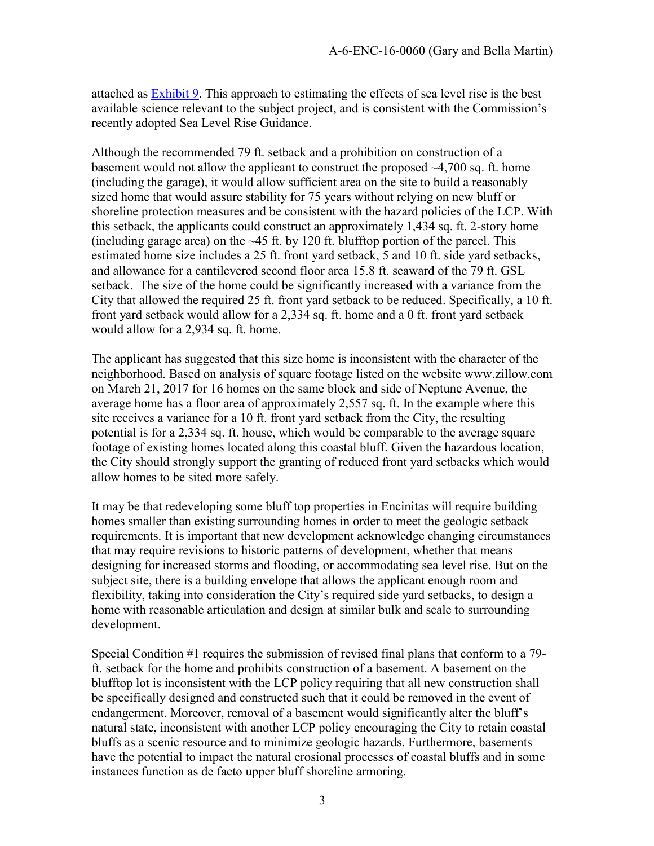attached as [Exhibit 9.](https://documents.coastal.ca.gov/reports/2018/8/w20a/w20a-8-2018-exhibits.pdf) This approach to estimating the effects of sea level rise is the best available science relevant to the subject project, and is consistent with the Commission's recently adopted Sea Level Rise Guidance.

Although the recommended 79 ft. setback and a prohibition on construction of a basement would not allow the applicant to construct the proposed  $\sim$ 4,700 sq. ft. home (including the garage), it would allow sufficient area on the site to build a reasonably sized home that would assure stability for 75 years without relying on new bluff or shoreline protection measures and be consistent with the hazard policies of the LCP. With this setback, the applicants could construct an approximately 1,434 sq. ft. 2-story home (including garage area) on the  $\sim$ 45 ft. by 120 ft. blufftop portion of the parcel. This estimated home size includes a 25 ft. front yard setback, 5 and 10 ft. side yard setbacks, and allowance for a cantilevered second floor area 15.8 ft. seaward of the 79 ft. GSL setback. The size of the home could be significantly increased with a variance from the City that allowed the required 25 ft. front yard setback to be reduced. Specifically, a 10 ft. front yard setback would allow for a 2,334 sq. ft. home and a 0 ft. front yard setback would allow for a 2,934 sq. ft. home.

The applicant has suggested that this size home is inconsistent with the character of the neighborhood. Based on analysis of square footage listed on the website www.zillow.com on March 21, 2017 for 16 homes on the same block and side of Neptune Avenue, the average home has a floor area of approximately 2,557 sq. ft. In the example where this site receives a variance for a 10 ft. front yard setback from the City, the resulting potential is for a 2,334 sq. ft. house, which would be comparable to the average square footage of existing homes located along this coastal bluff. Given the hazardous location, the City should strongly support the granting of reduced front yard setbacks which would allow homes to be sited more safely.

It may be that redeveloping some bluff top properties in Encinitas will require building homes smaller than existing surrounding homes in order to meet the geologic setback requirements. It is important that new development acknowledge changing circumstances that may require revisions to historic patterns of development, whether that means designing for increased storms and flooding, or accommodating sea level rise. But on the subject site, there is a building envelope that allows the applicant enough room and flexibility, taking into consideration the City's required side yard setbacks, to design a home with reasonable articulation and design at similar bulk and scale to surrounding development.

Special Condition #1 requires the submission of revised final plans that conform to a 79 ft. setback for the home and prohibits construction of a basement. A basement on the blufftop lot is inconsistent with the LCP policy requiring that all new construction shall be specifically designed and constructed such that it could be removed in the event of endangerment. Moreover, removal of a basement would significantly alter the bluff's natural state, inconsistent with another LCP policy encouraging the City to retain coastal bluffs as a scenic resource and to minimize geologic hazards. Furthermore, basements have the potential to impact the natural erosional processes of coastal bluffs and in some instances function as de facto upper bluff shoreline armoring.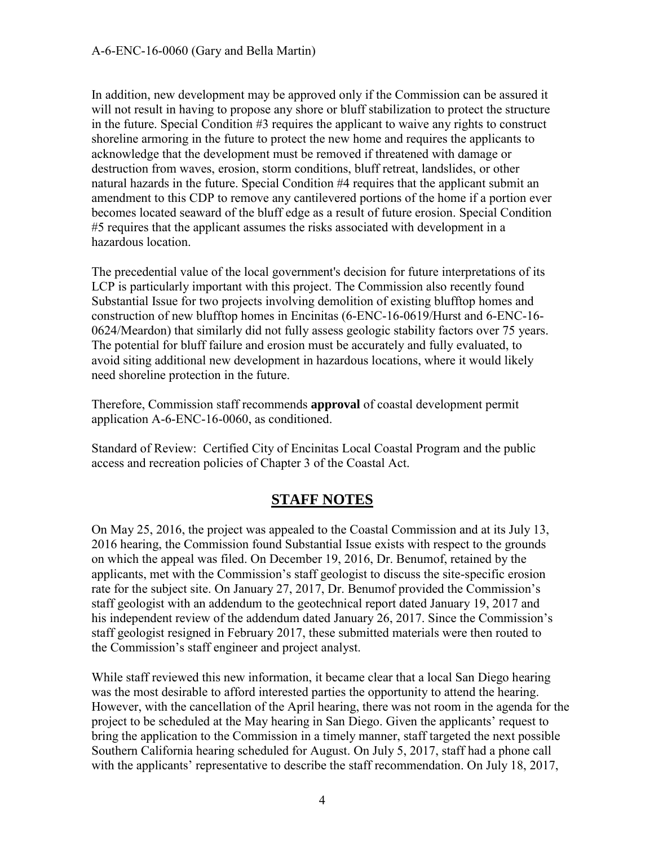In addition, new development may be approved only if the Commission can be assured it will not result in having to propose any shore or bluff stabilization to protect the structure in the future. Special Condition #3 requires the applicant to waive any rights to construct shoreline armoring in the future to protect the new home and requires the applicants to acknowledge that the development must be removed if threatened with damage or destruction from waves, erosion, storm conditions, bluff retreat, landslides, or other natural hazards in the future. Special Condition #4 requires that the applicant submit an amendment to this CDP to remove any cantilevered portions of the home if a portion ever becomes located seaward of the bluff edge as a result of future erosion. Special Condition #5 requires that the applicant assumes the risks associated with development in a hazardous location.

The precedential value of the local government's decision for future interpretations of its LCP is particularly important with this project. The Commission also recently found Substantial Issue for two projects involving demolition of existing blufftop homes and construction of new blufftop homes in Encinitas (6-ENC-16-0619/Hurst and 6-ENC-16- 0624/Meardon) that similarly did not fully assess geologic stability factors over 75 years. The potential for bluff failure and erosion must be accurately and fully evaluated, to avoid siting additional new development in hazardous locations, where it would likely need shoreline protection in the future.

Therefore, Commission staff recommends **approval** of coastal development permit application A-6-ENC-16-0060, as conditioned.

Standard of Review: Certified City of Encinitas Local Coastal Program and the public access and recreation policies of Chapter 3 of the Coastal Act.

### **STAFF NOTES**

On May 25, 2016, the project was appealed to the Coastal Commission and at its July 13, 2016 hearing, the Commission found Substantial Issue exists with respect to the grounds on which the appeal was filed. On December 19, 2016, Dr. Benumof, retained by the applicants, met with the Commission's staff geologist to discuss the site-specific erosion rate for the subject site. On January 27, 2017, Dr. Benumof provided the Commission's staff geologist with an addendum to the geotechnical report dated January 19, 2017 and his independent review of the addendum dated January 26, 2017. Since the Commission's staff geologist resigned in February 2017, these submitted materials were then routed to the Commission's staff engineer and project analyst.

While staff reviewed this new information, it became clear that a local San Diego hearing was the most desirable to afford interested parties the opportunity to attend the hearing. However, with the cancellation of the April hearing, there was not room in the agenda for the project to be scheduled at the May hearing in San Diego. Given the applicants' request to bring the application to the Commission in a timely manner, staff targeted the next possible Southern California hearing scheduled for August. On July 5, 2017, staff had a phone call with the applicants' representative to describe the staff recommendation. On July 18, 2017,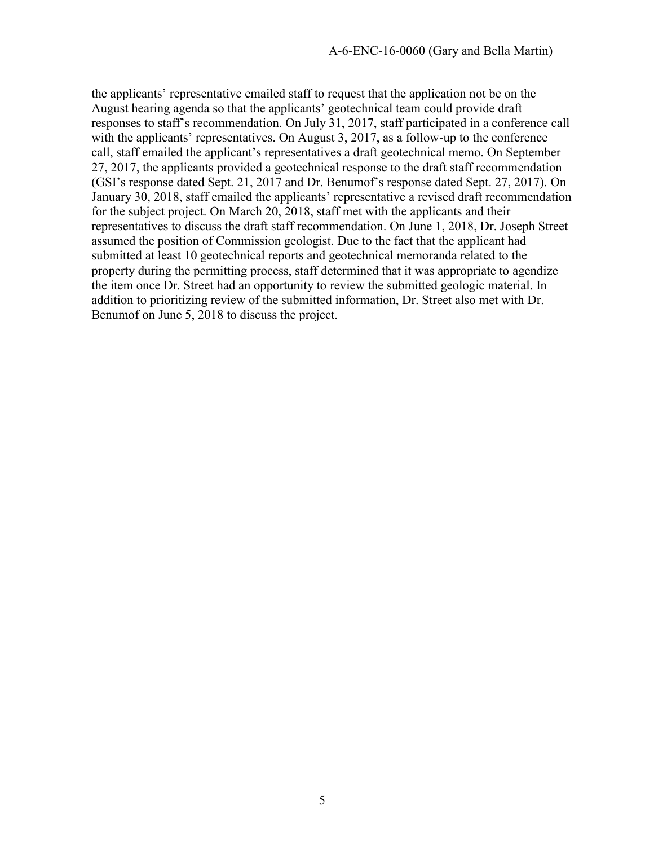the applicants' representative emailed staff to request that the application not be on the August hearing agenda so that the applicants' geotechnical team could provide draft responses to staff's recommendation. On July 31, 2017, staff participated in a conference call with the applicants' representatives. On August 3, 2017, as a follow-up to the conference call, staff emailed the applicant's representatives a draft geotechnical memo. On September 27, 2017, the applicants provided a geotechnical response to the draft staff recommendation (GSI's response dated Sept. 21, 2017 and Dr. Benumof's response dated Sept. 27, 2017). On January 30, 2018, staff emailed the applicants' representative a revised draft recommendation for the subject project. On March 20, 2018, staff met with the applicants and their representatives to discuss the draft staff recommendation. On June 1, 2018, Dr. Joseph Street assumed the position of Commission geologist. Due to the fact that the applicant had submitted at least 10 geotechnical reports and geotechnical memoranda related to the property during the permitting process, staff determined that it was appropriate to agendize the item once Dr. Street had an opportunity to review the submitted geologic material. In addition to prioritizing review of the submitted information, Dr. Street also met with Dr. Benumof on June 5, 2018 to discuss the project.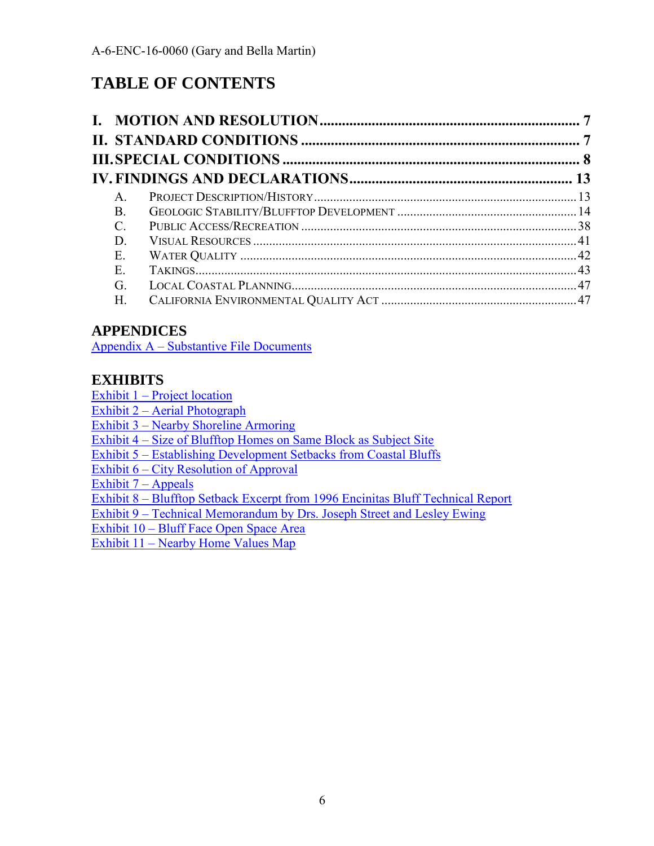# **TABLE OF CONTENTS**

| $\mathsf{A}$  |  |
|---------------|--|
| B.            |  |
| $\mathcal{C}$ |  |
| D             |  |
| Ε.            |  |
| Е.            |  |
| G.            |  |
| Н.            |  |

### **APPENDICES**

[Appendix A – Substantive File Documents](#page-48-0)

### **EXHIBITS**

[Exhibit 1 – Project location](https://documents.coastal.ca.gov/reports/2018/8/w20a/w20a-8-2018-exhibits.pdf)

Exhibit 2 – [Aerial Photograph](https://documents.coastal.ca.gov/reports/2018/8/w20a/w20a-8-2018-exhibits.pdf)

Exhibit 3 – [Nearby Shoreline Armoring](https://documents.coastal.ca.gov/reports/2018/8/w20a/w20a-8-2018-exhibits.pdf)

[Exhibit 4 – Size of Blufftop Homes on Same Block as Subject Site](https://documents.coastal.ca.gov/reports/2018/8/w20a/w20a-8-2018-exhibits.pdf)

[Exhibit 5 – Establishing Development Setbacks from Coastal Bluffs](https://documents.coastal.ca.gov/reports/2018/8/w20a/w20a-8-2018-exhibits.pdf)

Exhibit 6 – [City Resolution of Approval](https://documents.coastal.ca.gov/reports/2018/8/w20a/w20a-8-2018-exhibits.pdf)

Exhibit  $7 -$  Appeals

Exhibit 8 – [Blufftop Setback Excerpt from 1996 Encinitas Bluff Technical Report](https://documents.coastal.ca.gov/reports/2018/8/w20a/w20a-8-2018-exhibits.pdf)

[Exhibit 9 – Technical Memorandum by Drs. Joseph Street and Lesley Ewing](https://documents.coastal.ca.gov/reports/2018/8/w20a/w20a-8-2018-exhibits.pdf)

[Exhibit 10 – Bluff Face Open Space Area](https://documents.coastal.ca.gov/reports/2018/8/w20a/w20a-8-2018-exhibits.pdf)

[Exhibit 11 – Nearby Home Values Map](https://documents.coastal.ca.gov/reports/2018/8/w20a/w20a-8-2018-exhibits.pdf)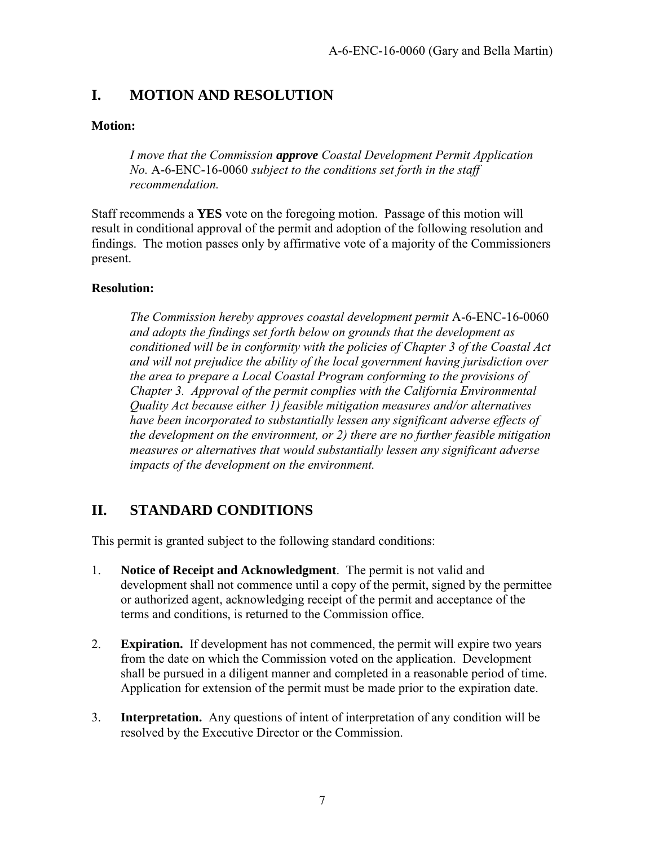### <span id="page-6-0"></span>**I. MOTION AND RESOLUTION**

#### **Motion:**

*I move that the Commission approve Coastal Development Permit Application No.* A-6-ENC-16-0060 *subject to the conditions set forth in the staff recommendation.* 

Staff recommends a **YES** vote on the foregoing motion. Passage of this motion will result in conditional approval of the permit and adoption of the following resolution and findings. The motion passes only by affirmative vote of a majority of the Commissioners present.

#### **Resolution:**

*The Commission hereby approves coastal development permit* A-6-ENC-16-0060 *and adopts the findings set forth below on grounds that the development as conditioned will be in conformity with the policies of Chapter 3 of the Coastal Act and will not prejudice the ability of the local government having jurisdiction over the area to prepare a Local Coastal Program conforming to the provisions of Chapter 3. Approval of the permit complies with the California Environmental Quality Act because either 1) feasible mitigation measures and/or alternatives have been incorporated to substantially lessen any significant adverse effects of the development on the environment, or 2) there are no further feasible mitigation measures or alternatives that would substantially lessen any significant adverse impacts of the development on the environment.* 

### <span id="page-6-1"></span>**II. STANDARD CONDITIONS**

This permit is granted subject to the following standard conditions:

- 1. **Notice of Receipt and Acknowledgment**. The permit is not valid and development shall not commence until a copy of the permit, signed by the permittee or authorized agent, acknowledging receipt of the permit and acceptance of the terms and conditions, is returned to the Commission office.
- 2. **Expiration.** If development has not commenced, the permit will expire two years from the date on which the Commission voted on the application. Development shall be pursued in a diligent manner and completed in a reasonable period of time. Application for extension of the permit must be made prior to the expiration date.
- 3. **Interpretation.** Any questions of intent of interpretation of any condition will be resolved by the Executive Director or the Commission.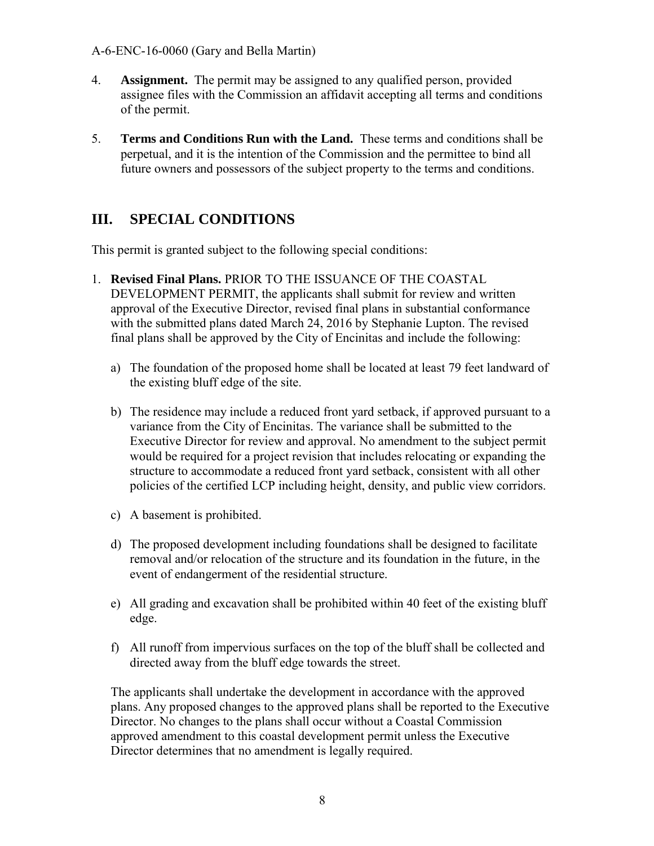- 4. **Assignment.** The permit may be assigned to any qualified person, provided assignee files with the Commission an affidavit accepting all terms and conditions of the permit.
- 5. **Terms and Conditions Run with the Land.** These terms and conditions shall be perpetual, and it is the intention of the Commission and the permittee to bind all future owners and possessors of the subject property to the terms and conditions.

### <span id="page-7-0"></span>**III. SPECIAL CONDITIONS**

This permit is granted subject to the following special conditions:

- 1. **Revised Final Plans.** PRIOR TO THE ISSUANCE OF THE COASTAL DEVELOPMENT PERMIT, the applicants shall submit for review and written approval of the Executive Director, revised final plans in substantial conformance with the submitted plans dated March 24, 2016 by Stephanie Lupton. The revised final plans shall be approved by the City of Encinitas and include the following:
	- a) The foundation of the proposed home shall be located at least 79 feet landward of the existing bluff edge of the site.
	- b) The residence may include a reduced front yard setback, if approved pursuant to a variance from the City of Encinitas. The variance shall be submitted to the Executive Director for review and approval. No amendment to the subject permit would be required for a project revision that includes relocating or expanding the structure to accommodate a reduced front yard setback, consistent with all other policies of the certified LCP including height, density, and public view corridors.
	- c) A basement is prohibited.
	- d) The proposed development including foundations shall be designed to facilitate removal and/or relocation of the structure and its foundation in the future, in the event of endangerment of the residential structure.
	- e) All grading and excavation shall be prohibited within 40 feet of the existing bluff edge.
	- f) All runoff from impervious surfaces on the top of the bluff shall be collected and directed away from the bluff edge towards the street.

The applicants shall undertake the development in accordance with the approved plans. Any proposed changes to the approved plans shall be reported to the Executive Director. No changes to the plans shall occur without a Coastal Commission approved amendment to this coastal development permit unless the Executive Director determines that no amendment is legally required.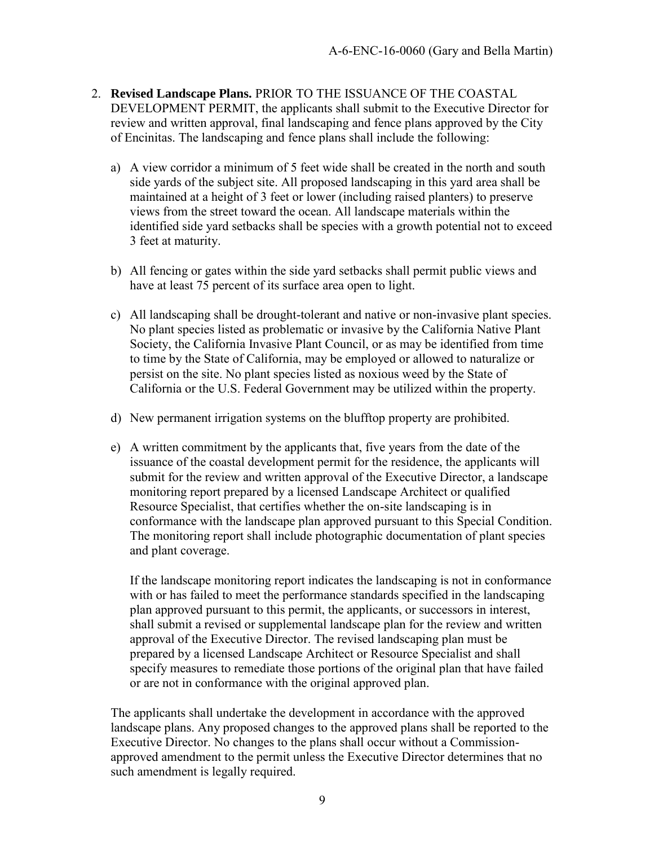- 2. **Revised Landscape Plans.** PRIOR TO THE ISSUANCE OF THE COASTAL DEVELOPMENT PERMIT, the applicants shall submit to the Executive Director for review and written approval, final landscaping and fence plans approved by the City of Encinitas. The landscaping and fence plans shall include the following:
	- a) A view corridor a minimum of 5 feet wide shall be created in the north and south side yards of the subject site. All proposed landscaping in this yard area shall be maintained at a height of 3 feet or lower (including raised planters) to preserve views from the street toward the ocean. All landscape materials within the identified side yard setbacks shall be species with a growth potential not to exceed 3 feet at maturity.
	- b) All fencing or gates within the side yard setbacks shall permit public views and have at least 75 percent of its surface area open to light.
	- c) All landscaping shall be drought-tolerant and native or non-invasive plant species. No plant species listed as problematic or invasive by the California Native Plant Society, the California Invasive Plant Council, or as may be identified from time to time by the State of California, may be employed or allowed to naturalize or persist on the site. No plant species listed as noxious weed by the State of California or the U.S. Federal Government may be utilized within the property.
	- d) New permanent irrigation systems on the blufftop property are prohibited.
	- e) A written commitment by the applicants that, five years from the date of the issuance of the coastal development permit for the residence, the applicants will submit for the review and written approval of the Executive Director, a landscape monitoring report prepared by a licensed Landscape Architect or qualified Resource Specialist, that certifies whether the on-site landscaping is in conformance with the landscape plan approved pursuant to this Special Condition. The monitoring report shall include photographic documentation of plant species and plant coverage.

If the landscape monitoring report indicates the landscaping is not in conformance with or has failed to meet the performance standards specified in the landscaping plan approved pursuant to this permit, the applicants, or successors in interest, shall submit a revised or supplemental landscape plan for the review and written approval of the Executive Director. The revised landscaping plan must be prepared by a licensed Landscape Architect or Resource Specialist and shall specify measures to remediate those portions of the original plan that have failed or are not in conformance with the original approved plan.

The applicants shall undertake the development in accordance with the approved landscape plans. Any proposed changes to the approved plans shall be reported to the Executive Director. No changes to the plans shall occur without a Commissionapproved amendment to the permit unless the Executive Director determines that no such amendment is legally required.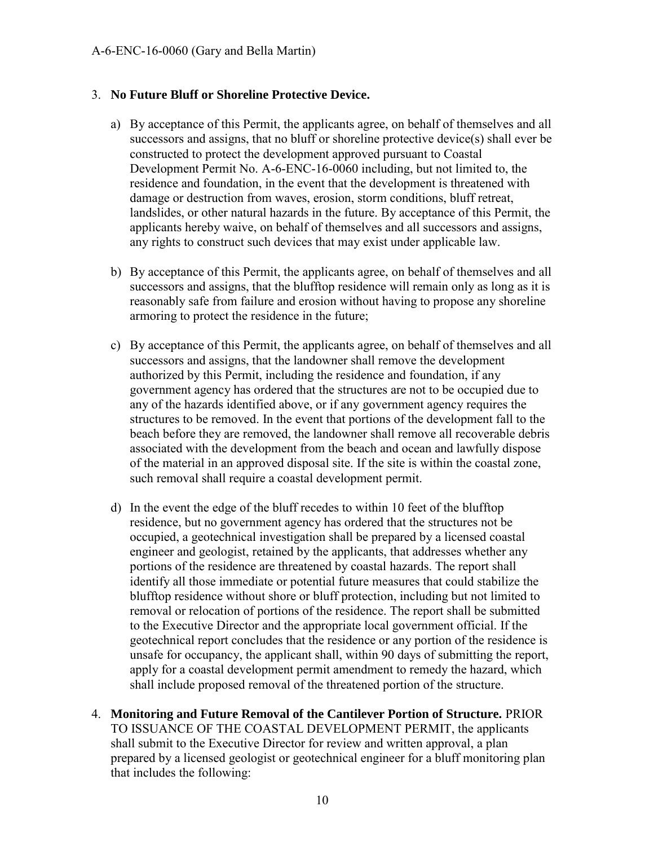#### 3. **No Future Bluff or Shoreline Protective Device.**

- a) By acceptance of this Permit, the applicants agree, on behalf of themselves and all successors and assigns, that no bluff or shoreline protective device(s) shall ever be constructed to protect the development approved pursuant to Coastal Development Permit No. A-6-ENC-16-0060 including, but not limited to, the residence and foundation, in the event that the development is threatened with damage or destruction from waves, erosion, storm conditions, bluff retreat, landslides, or other natural hazards in the future. By acceptance of this Permit, the applicants hereby waive, on behalf of themselves and all successors and assigns, any rights to construct such devices that may exist under applicable law.
- b) By acceptance of this Permit, the applicants agree, on behalf of themselves and all successors and assigns, that the blufftop residence will remain only as long as it is reasonably safe from failure and erosion without having to propose any shoreline armoring to protect the residence in the future;
- c) By acceptance of this Permit, the applicants agree, on behalf of themselves and all successors and assigns, that the landowner shall remove the development authorized by this Permit, including the residence and foundation, if any government agency has ordered that the structures are not to be occupied due to any of the hazards identified above, or if any government agency requires the structures to be removed. In the event that portions of the development fall to the beach before they are removed, the landowner shall remove all recoverable debris associated with the development from the beach and ocean and lawfully dispose of the material in an approved disposal site. If the site is within the coastal zone, such removal shall require a coastal development permit.
- d) In the event the edge of the bluff recedes to within 10 feet of the blufftop residence, but no government agency has ordered that the structures not be occupied, a geotechnical investigation shall be prepared by a licensed coastal engineer and geologist, retained by the applicants, that addresses whether any portions of the residence are threatened by coastal hazards. The report shall identify all those immediate or potential future measures that could stabilize the blufftop residence without shore or bluff protection, including but not limited to removal or relocation of portions of the residence. The report shall be submitted to the Executive Director and the appropriate local government official. If the geotechnical report concludes that the residence or any portion of the residence is unsafe for occupancy, the applicant shall, within 90 days of submitting the report, apply for a coastal development permit amendment to remedy the hazard, which shall include proposed removal of the threatened portion of the structure.
- 4. **Monitoring and Future Removal of the Cantilever Portion of Structure.** PRIOR TO ISSUANCE OF THE COASTAL DEVELOPMENT PERMIT, the applicants shall submit to the Executive Director for review and written approval, a plan prepared by a licensed geologist or geotechnical engineer for a bluff monitoring plan that includes the following: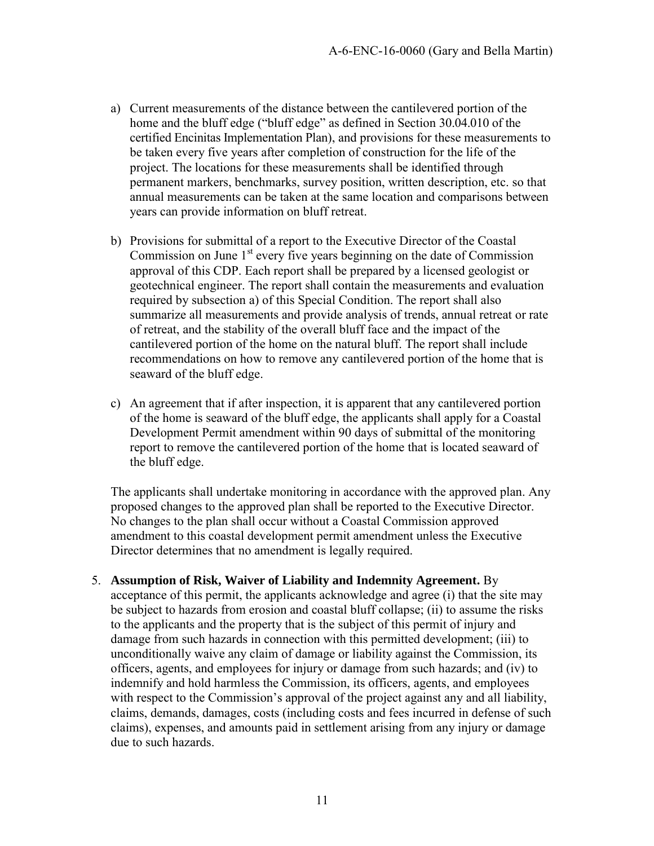- a) Current measurements of the distance between the cantilevered portion of the home and the bluff edge ("bluff edge" as defined in Section 30.04.010 of the certified Encinitas Implementation Plan), and provisions for these measurements to be taken every five years after completion of construction for the life of the project. The locations for these measurements shall be identified through permanent markers, benchmarks, survey position, written description, etc. so that annual measurements can be taken at the same location and comparisons between years can provide information on bluff retreat.
- b) Provisions for submittal of a report to the Executive Director of the Coastal Commission on June  $1<sup>st</sup>$  every five years beginning on the date of Commission approval of this CDP. Each report shall be prepared by a licensed geologist or geotechnical engineer. The report shall contain the measurements and evaluation required by subsection a) of this Special Condition. The report shall also summarize all measurements and provide analysis of trends, annual retreat or rate of retreat, and the stability of the overall bluff face and the impact of the cantilevered portion of the home on the natural bluff. The report shall include recommendations on how to remove any cantilevered portion of the home that is seaward of the bluff edge.
- c) An agreement that if after inspection, it is apparent that any cantilevered portion of the home is seaward of the bluff edge, the applicants shall apply for a Coastal Development Permit amendment within 90 days of submittal of the monitoring report to remove the cantilevered portion of the home that is located seaward of the bluff edge.

The applicants shall undertake monitoring in accordance with the approved plan. Any proposed changes to the approved plan shall be reported to the Executive Director. No changes to the plan shall occur without a Coastal Commission approved amendment to this coastal development permit amendment unless the Executive Director determines that no amendment is legally required.

5. **Assumption of Risk, Waiver of Liability and Indemnity Agreement.** By acceptance of this permit, the applicants acknowledge and agree (i) that the site may be subject to hazards from erosion and coastal bluff collapse; (ii) to assume the risks to the applicants and the property that is the subject of this permit of injury and damage from such hazards in connection with this permitted development; (iii) to unconditionally waive any claim of damage or liability against the Commission, its officers, agents, and employees for injury or damage from such hazards; and (iv) to indemnify and hold harmless the Commission, its officers, agents, and employees with respect to the Commission's approval of the project against any and all liability, claims, demands, damages, costs (including costs and fees incurred in defense of such claims), expenses, and amounts paid in settlement arising from any injury or damage due to such hazards.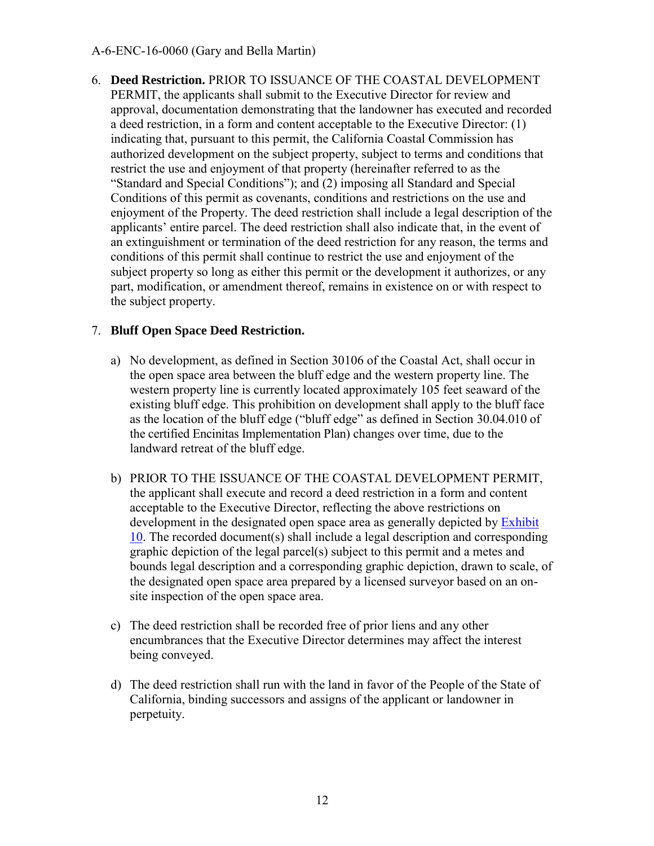6. **Deed Restriction.** PRIOR TO ISSUANCE OF THE COASTAL DEVELOPMENT PERMIT, the applicants shall submit to the Executive Director for review and approval, documentation demonstrating that the landowner has executed and recorded a deed restriction, in a form and content acceptable to the Executive Director: (1) indicating that, pursuant to this permit, the California Coastal Commission has authorized development on the subject property, subject to terms and conditions that restrict the use and enjoyment of that property (hereinafter referred to as the "Standard and Special Conditions"); and (2) imposing all Standard and Special Conditions of this permit as covenants, conditions and restrictions on the use and enjoyment of the Property. The deed restriction shall include a legal description of the applicants' entire parcel. The deed restriction shall also indicate that, in the event of an extinguishment or termination of the deed restriction for any reason, the terms and conditions of this permit shall continue to restrict the use and enjoyment of the subject property so long as either this permit or the development it authorizes, or any part, modification, or amendment thereof, remains in existence on or with respect to the subject property.

#### 7. **Bluff Open Space Deed Restriction.**

- a) No development, as defined in Section 30106 of the Coastal Act, shall occur in the open space area between the bluff edge and the western property line. The western property line is currently located approximately 105 feet seaward of the existing bluff edge. This prohibition on development shall apply to the bluff face as the location of the bluff edge ("bluff edge" as defined in Section 30.04.010 of the certified Encinitas Implementation Plan) changes over time, due to the landward retreat of the bluff edge.
- b) PRIOR TO THE ISSUANCE OF THE COASTAL DEVELOPMENT PERMIT, the applicant shall execute and record a deed restriction in a form and content acceptable to the Executive Director, reflecting the above restrictions on development in the designated open space area as generally depicted by [Exhibit](https://documents.coastal.ca.gov/reports/2018/8/w20a/w20a-8-2018-exhibits.pdf)  [10.](https://documents.coastal.ca.gov/reports/2018/8/w20a/w20a-8-2018-exhibits.pdf) The recorded document(s) shall include a legal description and corresponding graphic depiction of the legal parcel(s) subject to this permit and a metes and bounds legal description and a corresponding graphic depiction, drawn to scale, of the designated open space area prepared by a licensed surveyor based on an onsite inspection of the open space area.
- c) The deed restriction shall be recorded free of prior liens and any other encumbrances that the Executive Director determines may affect the interest being conveyed.
- d) The deed restriction shall run with the land in favor of the People of the State of California, binding successors and assigns of the applicant or landowner in perpetuity.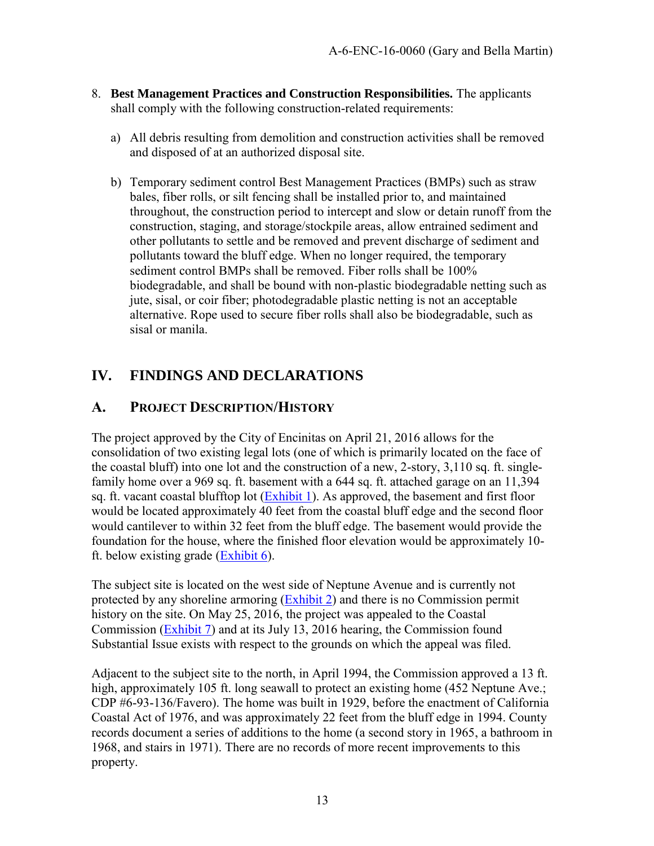- 8. **Best Management Practices and Construction Responsibilities.** The applicants shall comply with the following construction-related requirements:
	- a) All debris resulting from demolition and construction activities shall be removed and disposed of at an authorized disposal site.
	- b) Temporary sediment control Best Management Practices (BMPs) such as straw bales, fiber rolls, or silt fencing shall be installed prior to, and maintained throughout, the construction period to intercept and slow or detain runoff from the construction, staging, and storage/stockpile areas, allow entrained sediment and other pollutants to settle and be removed and prevent discharge of sediment and pollutants toward the bluff edge. When no longer required, the temporary sediment control BMPs shall be removed. Fiber rolls shall be 100% biodegradable, and shall be bound with non-plastic biodegradable netting such as jute, sisal, or coir fiber; photodegradable plastic netting is not an acceptable alternative. Rope used to secure fiber rolls shall also be biodegradable, such as sisal or manila.

### <span id="page-12-0"></span>**IV. FINDINGS AND DECLARATIONS**

### <span id="page-12-1"></span>**A. PROJECT DESCRIPTION/HISTORY**

The project approved by the City of Encinitas on April 21, 2016 allows for the consolidation of two existing legal lots (one of which is primarily located on the face of the coastal bluff) into one lot and the construction of a new, 2-story, 3,110 sq. ft. singlefamily home over a 969 sq. ft. basement with a 644 sq. ft. attached garage on an 11,394 sq. ft. vacant coastal blufftop lot [\(Exhibit 1\)](https://documents.coastal.ca.gov/reports/2018/8/w20a/w20a-8-2018-exhibits.pdf). As approved, the basement and first floor would be located approximately 40 feet from the coastal bluff edge and the second floor would cantilever to within 32 feet from the bluff edge. The basement would provide the foundation for the house, where the finished floor elevation would be approximately 10 ft. below existing grade [\(Exhibit 6\)](https://documents.coastal.ca.gov/reports/2018/8/w20a/w20a-8-2018-exhibits.pdf).

The subject site is located on the west side of Neptune Avenue and is currently not protected by any shoreline armoring [\(Exhibit 2\)](https://documents.coastal.ca.gov/reports/2018/8/w20a/w20a-8-2018-exhibits.pdf) and there is no Commission permit history on the site. On May 25, 2016, the project was appealed to the Coastal Commission [\(Exhibit 7\)](https://documents.coastal.ca.gov/reports/2018/8/w20a/w20a-8-2018-exhibits.pdf) and at its July 13, 2016 hearing, the Commission found Substantial Issue exists with respect to the grounds on which the appeal was filed.

Adjacent to the subject site to the north, in April 1994, the Commission approved a 13 ft. high, approximately 105 ft. long seawall to protect an existing home (452 Neptune Ave.; CDP #6-93-136/Favero). The home was built in 1929, before the enactment of California Coastal Act of 1976, and was approximately 22 feet from the bluff edge in 1994. County records document a series of additions to the home (a second story in 1965, a bathroom in 1968, and stairs in 1971). There are no records of more recent improvements to this property.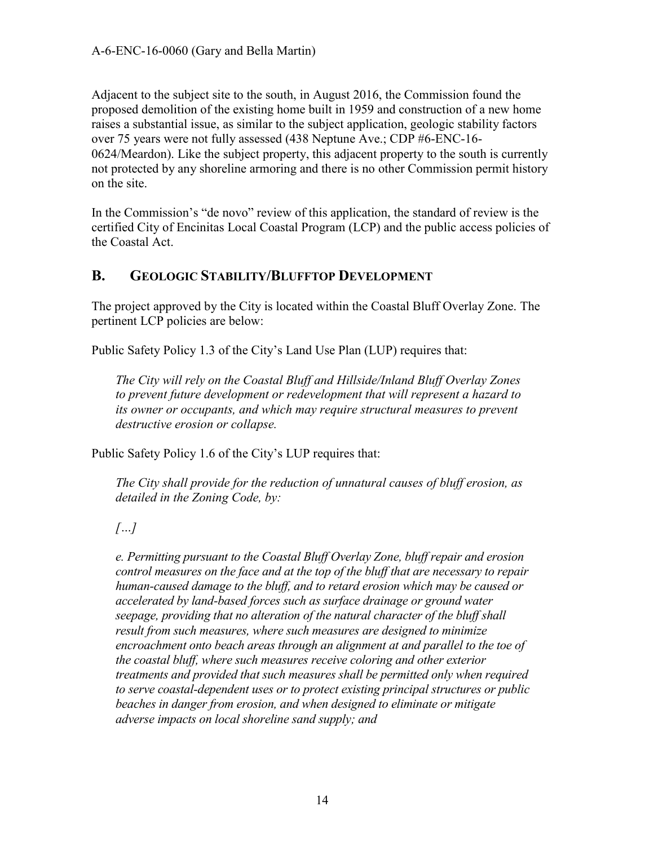Adjacent to the subject site to the south, in August 2016, the Commission found the proposed demolition of the existing home built in 1959 and construction of a new home raises a substantial issue, as similar to the subject application, geologic stability factors over 75 years were not fully assessed (438 Neptune Ave.; CDP #6-ENC-16- 0624/Meardon). Like the subject property, this adjacent property to the south is currently not protected by any shoreline armoring and there is no other Commission permit history on the site.

In the Commission's "de novo" review of this application, the standard of review is the certified City of Encinitas Local Coastal Program (LCP) and the public access policies of the Coastal Act.

### <span id="page-13-0"></span>**B. GEOLOGIC STABILITY/BLUFFTOP DEVELOPMENT**

The project approved by the City is located within the Coastal Bluff Overlay Zone. The pertinent LCP policies are below:

Public Safety Policy 1.3 of the City's Land Use Plan (LUP) requires that:

*The City will rely on the Coastal Bluff and Hillside/Inland Bluff Overlay Zones to prevent future development or redevelopment that will represent a hazard to its owner or occupants, and which may require structural measures to prevent destructive erosion or collapse.*

Public Safety Policy 1.6 of the City's LUP requires that:

*The City shall provide for the reduction of unnatural causes of bluff erosion, as detailed in the Zoning Code, by:* 

*[…]* 

*e. Permitting pursuant to the Coastal Bluff Overlay Zone, bluff repair and erosion control measures on the face and at the top of the bluff that are necessary to repair human-caused damage to the bluff, and to retard erosion which may be caused or accelerated by land-based forces such as surface drainage or ground water seepage, providing that no alteration of the natural character of the bluff shall result from such measures, where such measures are designed to minimize encroachment onto beach areas through an alignment at and parallel to the toe of the coastal bluff, where such measures receive coloring and other exterior treatments and provided that such measures shall be permitted only when required to serve coastal-dependent uses or to protect existing principal structures or public beaches in danger from erosion, and when designed to eliminate or mitigate adverse impacts on local shoreline sand supply; and*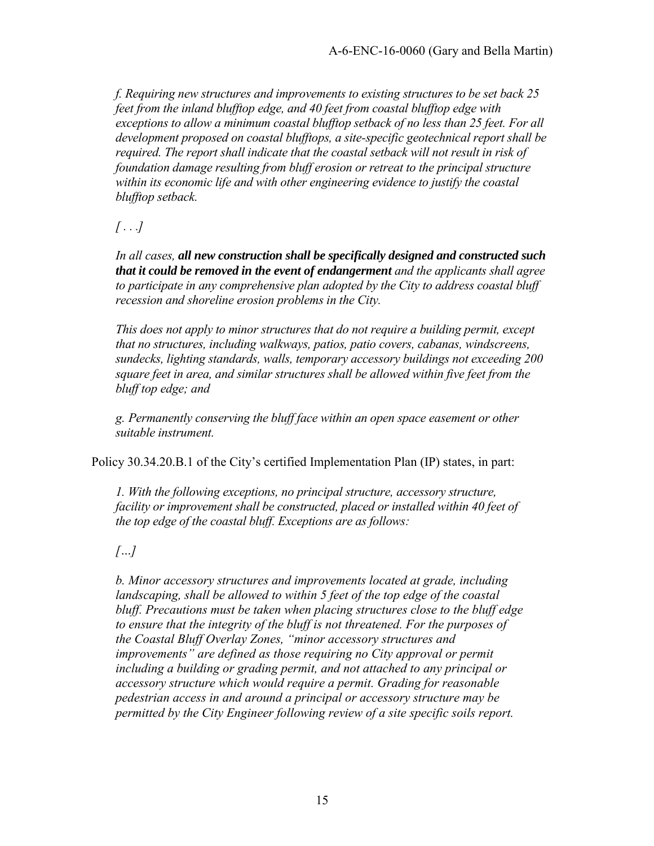*f. Requiring new structures and improvements to existing structures to be set back 25 feet from the inland blufftop edge, and 40 feet from coastal blufftop edge with exceptions to allow a minimum coastal blufftop setback of no less than 25 feet. For all development proposed on coastal blufftops, a site-specific geotechnical report shall be required. The report shall indicate that the coastal setback will not result in risk of foundation damage resulting from bluff erosion or retreat to the principal structure within its economic life and with other engineering evidence to justify the coastal blufftop setback.* 

*[ . . .]* 

*In all cases, all new construction shall be specifically designed and constructed such that it could be removed in the event of endangerment and the applicants shall agree to participate in any comprehensive plan adopted by the City to address coastal bluff recession and shoreline erosion problems in the City.* 

*This does not apply to minor structures that do not require a building permit, except that no structures, including walkways, patios, patio covers, cabanas, windscreens, sundecks, lighting standards, walls, temporary accessory buildings not exceeding 200 square feet in area, and similar structures shall be allowed within five feet from the bluff top edge; and*

*g. Permanently conserving the bluff face within an open space easement or other suitable instrument.* 

Policy 30.34.20.B.1 of the City's certified Implementation Plan (IP) states, in part:

*1. With the following exceptions, no principal structure, accessory structure, facility or improvement shall be constructed, placed or installed within 40 feet of the top edge of the coastal bluff. Exceptions are as follows:* 

*[…]* 

*b. Minor accessory structures and improvements located at grade, including landscaping, shall be allowed to within 5 feet of the top edge of the coastal bluff. Precautions must be taken when placing structures close to the bluff edge to ensure that the integrity of the bluff is not threatened. For the purposes of the Coastal Bluff Overlay Zones, "minor accessory structures and improvements" are defined as those requiring no City approval or permit including a building or grading permit, and not attached to any principal or accessory structure which would require a permit. Grading for reasonable pedestrian access in and around a principal or accessory structure may be permitted by the City Engineer following review of a site specific soils report.*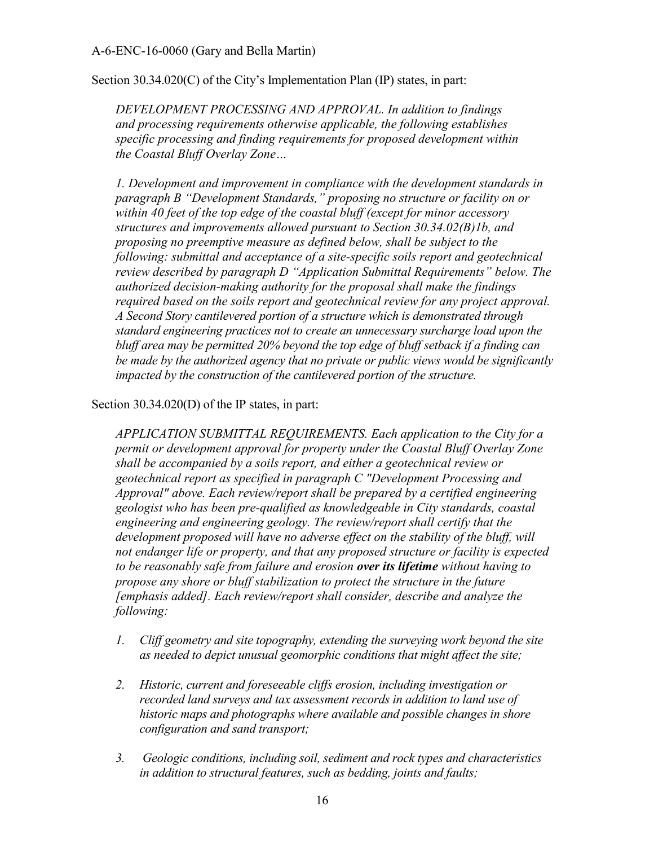Section 30.34.020(C) of the City's Implementation Plan (IP) states, in part:

*DEVELOPMENT PROCESSING AND APPROVAL. In addition to findings and processing requirements otherwise applicable, the following establishes specific processing and finding requirements for proposed development within the Coastal Bluff Overlay Zone…* 

*1. Development and improvement in compliance with the development standards in paragraph B "Development Standards," proposing no structure or facility on or within 40 feet of the top edge of the coastal bluff (except for minor accessory structures and improvements allowed pursuant to Section 30.34.02(B)1b, and proposing no preemptive measure as defined below, shall be subject to the following: submittal and acceptance of a site-specific soils report and geotechnical review described by paragraph D "Application Submittal Requirements" below. The authorized decision-making authority for the proposal shall make the findings required based on the soils report and geotechnical review for any project approval. A Second Story cantilevered portion of a structure which is demonstrated through standard engineering practices not to create an unnecessary surcharge load upon the bluff area may be permitted 20% beyond the top edge of bluff setback if a finding can be made by the authorized agency that no private or public views would be significantly impacted by the construction of the cantilevered portion of the structure.* 

Section 30.34.020(D) of the IP states, in part:

*APPLICATION SUBMITTAL REQUIREMENTS. Each application to the City for a permit or development approval for property under the Coastal Bluff Overlay Zone shall be accompanied by a soils report, and either a geotechnical review or geotechnical report as specified in paragraph C "Development Processing and Approval" above. Each review/report shall be prepared by a certified engineering geologist who has been pre-qualified as knowledgeable in City standards, coastal engineering and engineering geology. The review/report shall certify that the*  development proposed will have no adverse effect on the stability of the bluff, will *not endanger life or property, and that any proposed structure or facility is expected to be reasonably safe from failure and erosion over its lifetime without having to propose any shore or bluff stabilization to protect the structure in the future [emphasis added]. Each review/report shall consider, describe and analyze the following:* 

- *1. Cliff geometry and site topography, extending the surveying work beyond the site as needed to depict unusual geomorphic conditions that might affect the site;*
- *2. Historic, current and foreseeable cliffs erosion, including investigation or recorded land surveys and tax assessment records in addition to land use of historic maps and photographs where available and possible changes in shore configuration and sand transport;*
- *3. Geologic conditions, including soil, sediment and rock types and characteristics in addition to structural features, such as bedding, joints and faults;*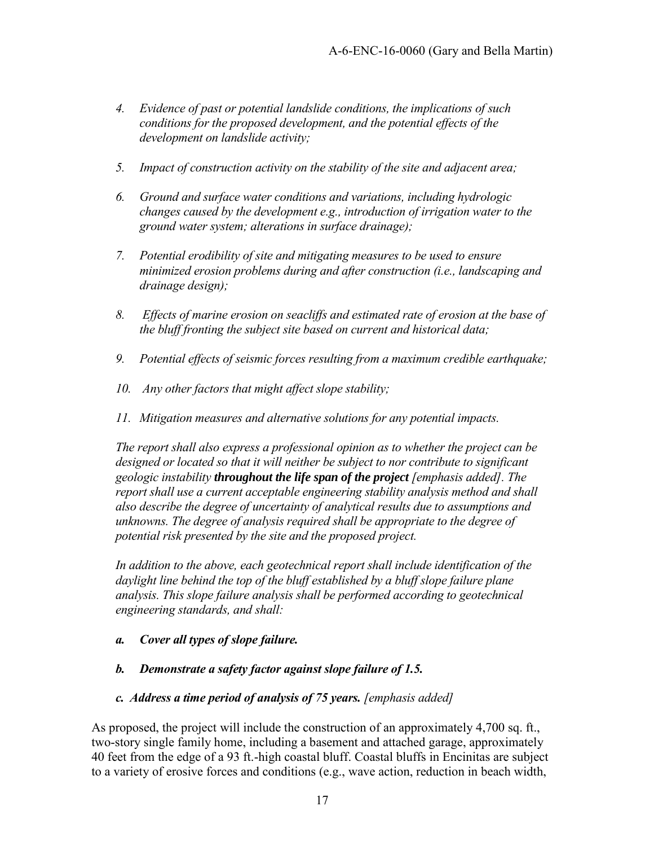- *4. Evidence of past or potential landslide conditions, the implications of such conditions for the proposed development, and the potential effects of the development on landslide activity;*
- *5. Impact of construction activity on the stability of the site and adjacent area;*
- *6. Ground and surface water conditions and variations, including hydrologic changes caused by the development e.g., introduction of irrigation water to the ground water system; alterations in surface drainage);*
- *7. Potential erodibility of site and mitigating measures to be used to ensure minimized erosion problems during and after construction (i.e., landscaping and drainage design);*
- *8. Effects of marine erosion on seacliffs and estimated rate of erosion at the base of the bluff fronting the subject site based on current and historical data;*
- *9. Potential effects of seismic forces resulting from a maximum credible earthquake;*
- *10. Any other factors that might affect slope stability;*
- *11. Mitigation measures and alternative solutions for any potential impacts.*

*The report shall also express a professional opinion as to whether the project can be designed or located so that it will neither be subject to nor contribute to significant geologic instability throughout the life span of the project [emphasis added]. The report shall use a current acceptable engineering stability analysis method and shall also describe the degree of uncertainty of analytical results due to assumptions and unknowns. The degree of analysis required shall be appropriate to the degree of potential risk presented by the site and the proposed project.* 

*In addition to the above, each geotechnical report shall include identification of the daylight line behind the top of the bluff established by a bluff slope failure plane analysis. This slope failure analysis shall be performed according to geotechnical engineering standards, and shall:* 

- *a. Cover all types of slope failure.*
- *b. Demonstrate a safety factor against slope failure of 1.5.*
- *c. Address a time period of analysis of 75 years. [emphasis added]*

As proposed, the project will include the construction of an approximately 4,700 sq. ft., two-story single family home, including a basement and attached garage, approximately 40 feet from the edge of a 93 ft.-high coastal bluff. Coastal bluffs in Encinitas are subject to a variety of erosive forces and conditions (e.g., wave action, reduction in beach width,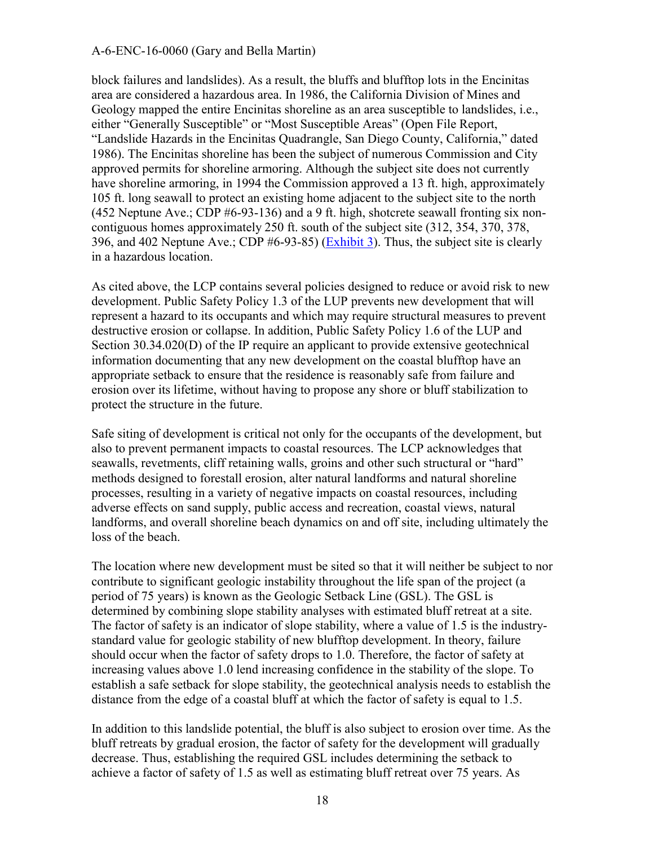block failures and landslides). As a result, the bluffs and blufftop lots in the Encinitas area are considered a hazardous area. In 1986, the California Division of Mines and Geology mapped the entire Encinitas shoreline as an area susceptible to landslides, i.e., either "Generally Susceptible" or "Most Susceptible Areas" (Open File Report, "Landslide Hazards in the Encinitas Quadrangle, San Diego County, California," dated 1986). The Encinitas shoreline has been the subject of numerous Commission and City approved permits for shoreline armoring. Although the subject site does not currently have shoreline armoring, in 1994 the Commission approved a 13 ft. high, approximately 105 ft. long seawall to protect an existing home adjacent to the subject site to the north (452 Neptune Ave.; CDP #6-93-136) and a 9 ft. high, shotcrete seawall fronting six noncontiguous homes approximately 250 ft. south of the subject site (312, 354, 370, 378, 396, and 402 Neptune Ave.; CDP #6-93-85) [\(Exhibit 3\)](https://documents.coastal.ca.gov/reports/2018/8/w20a/w20a-8-2018-exhibits.pdf). Thus, the subject site is clearly in a hazardous location.

As cited above, the LCP contains several policies designed to reduce or avoid risk to new development. Public Safety Policy 1.3 of the LUP prevents new development that will represent a hazard to its occupants and which may require structural measures to prevent destructive erosion or collapse. In addition, Public Safety Policy 1.6 of the LUP and Section 30.34.020(D) of the IP require an applicant to provide extensive geotechnical information documenting that any new development on the coastal blufftop have an appropriate setback to ensure that the residence is reasonably safe from failure and erosion over its lifetime, without having to propose any shore or bluff stabilization to protect the structure in the future.

Safe siting of development is critical not only for the occupants of the development, but also to prevent permanent impacts to coastal resources. The LCP acknowledges that seawalls, revetments, cliff retaining walls, groins and other such structural or "hard" methods designed to forestall erosion, alter natural landforms and natural shoreline processes, resulting in a variety of negative impacts on coastal resources, including adverse effects on sand supply, public access and recreation, coastal views, natural landforms, and overall shoreline beach dynamics on and off site, including ultimately the loss of the beach.

The location where new development must be sited so that it will neither be subject to nor contribute to significant geologic instability throughout the life span of the project (a period of 75 years) is known as the Geologic Setback Line (GSL). The GSL is determined by combining slope stability analyses with estimated bluff retreat at a site. The factor of safety is an indicator of slope stability, where a value of 1.5 is the industrystandard value for geologic stability of new blufftop development. In theory, failure should occur when the factor of safety drops to 1.0. Therefore, the factor of safety at increasing values above 1.0 lend increasing confidence in the stability of the slope. To establish a safe setback for slope stability, the geotechnical analysis needs to establish the distance from the edge of a coastal bluff at which the factor of safety is equal to 1.5.

In addition to this landslide potential, the bluff is also subject to erosion over time. As the bluff retreats by gradual erosion, the factor of safety for the development will gradually decrease. Thus, establishing the required GSL includes determining the setback to achieve a factor of safety of 1.5 as well as estimating bluff retreat over 75 years. As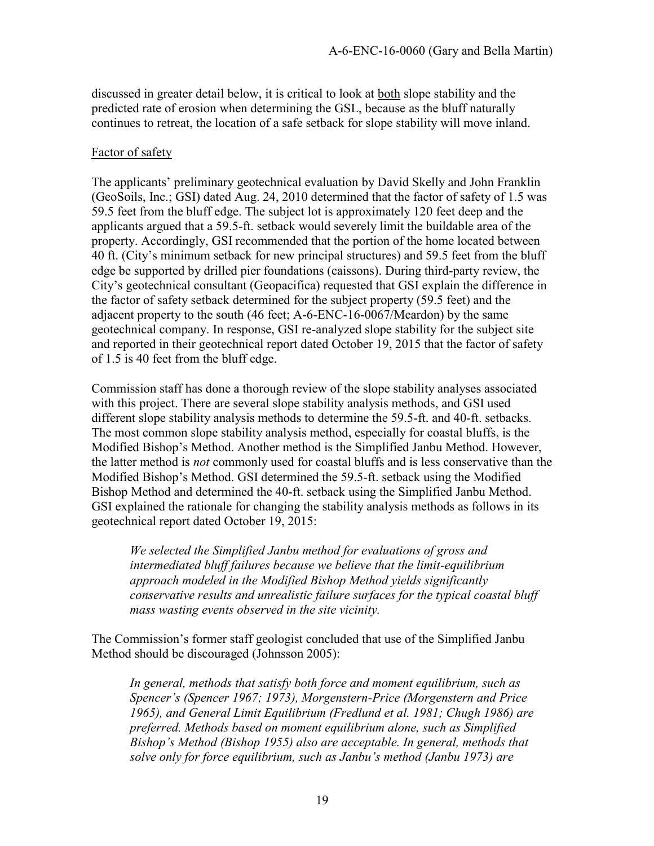discussed in greater detail below, it is critical to look at both slope stability and the predicted rate of erosion when determining the GSL, because as the bluff naturally continues to retreat, the location of a safe setback for slope stability will move inland.

#### Factor of safety

The applicants' preliminary geotechnical evaluation by David Skelly and John Franklin (GeoSoils, Inc.; GSI) dated Aug. 24, 2010 determined that the factor of safety of 1.5 was 59.5 feet from the bluff edge. The subject lot is approximately 120 feet deep and the applicants argued that a 59.5-ft. setback would severely limit the buildable area of the property. Accordingly, GSI recommended that the portion of the home located between 40 ft. (City's minimum setback for new principal structures) and 59.5 feet from the bluff edge be supported by drilled pier foundations (caissons). During third-party review, the City's geotechnical consultant (Geopacifica) requested that GSI explain the difference in the factor of safety setback determined for the subject property (59.5 feet) and the adjacent property to the south (46 feet; A-6-ENC-16-0067/Meardon) by the same geotechnical company. In response, GSI re-analyzed slope stability for the subject site and reported in their geotechnical report dated October 19, 2015 that the factor of safety of 1.5 is 40 feet from the bluff edge.

Commission staff has done a thorough review of the slope stability analyses associated with this project. There are several slope stability analysis methods, and GSI used different slope stability analysis methods to determine the 59.5-ft. and 40-ft. setbacks. The most common slope stability analysis method, especially for coastal bluffs, is the Modified Bishop's Method. Another method is the Simplified Janbu Method. However, the latter method is *not* commonly used for coastal bluffs and is less conservative than the Modified Bishop's Method. GSI determined the 59.5-ft. setback using the Modified Bishop Method and determined the 40-ft. setback using the Simplified Janbu Method. GSI explained the rationale for changing the stability analysis methods as follows in its geotechnical report dated October 19, 2015:

*We selected the Simplified Janbu method for evaluations of gross and intermediated bluff failures because we believe that the limit-equilibrium approach modeled in the Modified Bishop Method yields significantly conservative results and unrealistic failure surfaces for the typical coastal bluff mass wasting events observed in the site vicinity.* 

The Commission's former staff geologist concluded that use of the Simplified Janbu Method should be discouraged (Johnsson 2005):

*In general, methods that satisfy both force and moment equilibrium, such as Spencer's (Spencer 1967; 1973), Morgenstern-Price (Morgenstern and Price 1965), and General Limit Equilibrium (Fredlund et al. 1981; Chugh 1986) are preferred. Methods based on moment equilibrium alone, such as Simplified Bishop's Method (Bishop 1955) also are acceptable. In general, methods that solve only for force equilibrium, such as Janbu's method (Janbu 1973) are*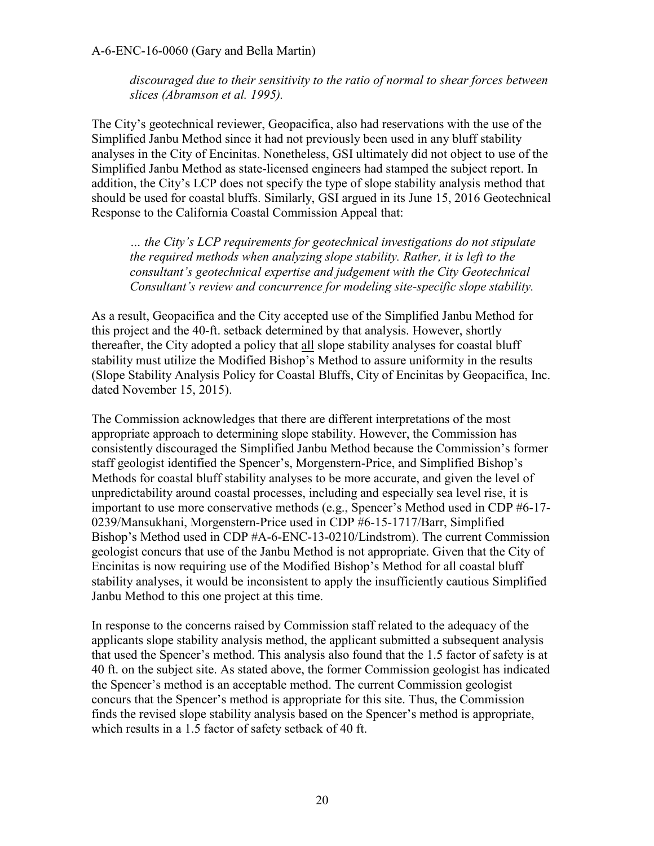*discouraged due to their sensitivity to the ratio of normal to shear forces between slices (Abramson et al. 1995).* 

The City's geotechnical reviewer, Geopacifica, also had reservations with the use of the Simplified Janbu Method since it had not previously been used in any bluff stability analyses in the City of Encinitas. Nonetheless, GSI ultimately did not object to use of the Simplified Janbu Method as state-licensed engineers had stamped the subject report. In addition, the City's LCP does not specify the type of slope stability analysis method that should be used for coastal bluffs. Similarly, GSI argued in its June 15, 2016 Geotechnical Response to the California Coastal Commission Appeal that:

*… the City's LCP requirements for geotechnical investigations do not stipulate the required methods when analyzing slope stability. Rather, it is left to the consultant's geotechnical expertise and judgement with the City Geotechnical Consultant's review and concurrence for modeling site-specific slope stability.* 

As a result, Geopacifica and the City accepted use of the Simplified Janbu Method for this project and the 40-ft. setback determined by that analysis. However, shortly thereafter, the City adopted a policy that all slope stability analyses for coastal bluff stability must utilize the Modified Bishop's Method to assure uniformity in the results (Slope Stability Analysis Policy for Coastal Bluffs, City of Encinitas by Geopacifica, Inc. dated November 15, 2015).

The Commission acknowledges that there are different interpretations of the most appropriate approach to determining slope stability. However, the Commission has consistently discouraged the Simplified Janbu Method because the Commission's former staff geologist identified the Spencer's, Morgenstern-Price, and Simplified Bishop's Methods for coastal bluff stability analyses to be more accurate, and given the level of unpredictability around coastal processes, including and especially sea level rise, it is important to use more conservative methods (e.g., Spencer's Method used in CDP #6-17- 0239/Mansukhani, Morgenstern-Price used in CDP #6-15-1717/Barr, Simplified Bishop's Method used in CDP #A-6-ENC-13-0210/Lindstrom). The current Commission geologist concurs that use of the Janbu Method is not appropriate. Given that the City of Encinitas is now requiring use of the Modified Bishop's Method for all coastal bluff stability analyses, it would be inconsistent to apply the insufficiently cautious Simplified Janbu Method to this one project at this time.

In response to the concerns raised by Commission staff related to the adequacy of the applicants slope stability analysis method, the applicant submitted a subsequent analysis that used the Spencer's method. This analysis also found that the 1.5 factor of safety is at 40 ft. on the subject site. As stated above, the former Commission geologist has indicated the Spencer's method is an acceptable method. The current Commission geologist concurs that the Spencer's method is appropriate for this site. Thus, the Commission finds the revised slope stability analysis based on the Spencer's method is appropriate, which results in a 1.5 factor of safety setback of 40 ft.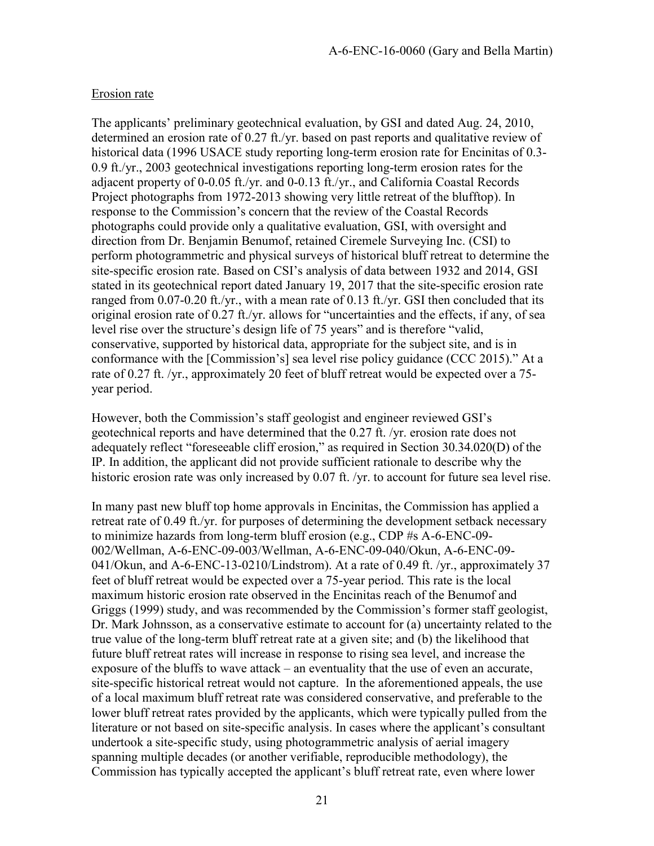#### Erosion rate

The applicants' preliminary geotechnical evaluation, by GSI and dated Aug. 24, 2010, determined an erosion rate of 0.27 ft./yr. based on past reports and qualitative review of historical data (1996 USACE study reporting long-term erosion rate for Encinitas of 0.3- 0.9 ft./yr., 2003 geotechnical investigations reporting long-term erosion rates for the adjacent property of 0-0.05 ft./yr. and 0-0.13 ft./yr., and California Coastal Records Project photographs from 1972-2013 showing very little retreat of the blufftop). In response to the Commission's concern that the review of the Coastal Records photographs could provide only a qualitative evaluation, GSI, with oversight and direction from Dr. Benjamin Benumof, retained Ciremele Surveying Inc. (CSI) to perform photogrammetric and physical surveys of historical bluff retreat to determine the site-specific erosion rate. Based on CSI's analysis of data between 1932 and 2014, GSI stated in its geotechnical report dated January 19, 2017 that the site-specific erosion rate ranged from 0.07-0.20 ft./yr., with a mean rate of 0.13 ft./yr. GSI then concluded that its original erosion rate of 0.27 ft./yr. allows for "uncertainties and the effects, if any, of sea level rise over the structure's design life of 75 years" and is therefore "valid, conservative, supported by historical data, appropriate for the subject site, and is in conformance with the [Commission's] sea level rise policy guidance (CCC 2015)." At a rate of 0.27 ft. /yr., approximately 20 feet of bluff retreat would be expected over a 75 year period.

However, both the Commission's staff geologist and engineer reviewed GSI's geotechnical reports and have determined that the 0.27 ft. /yr. erosion rate does not adequately reflect "foreseeable cliff erosion," as required in Section 30.34.020(D) of the IP. In addition, the applicant did not provide sufficient rationale to describe why the historic erosion rate was only increased by 0.07 ft. /yr. to account for future sea level rise.

In many past new bluff top home approvals in Encinitas, the Commission has applied a retreat rate of 0.49 ft./yr. for purposes of determining the development setback necessary to minimize hazards from long-term bluff erosion (e.g., CDP #s A-6-ENC-09- 002/Wellman, A-6-ENC-09-003/Wellman, A-6-ENC-09-040/Okun, A-6-ENC-09- 041/Okun, and A-6-ENC-13-0210/Lindstrom). At a rate of 0.49 ft. /yr., approximately 37 feet of bluff retreat would be expected over a 75-year period. This rate is the local maximum historic erosion rate observed in the Encinitas reach of the Benumof and Griggs (1999) study, and was recommended by the Commission's former staff geologist, Dr. Mark Johnsson, as a conservative estimate to account for (a) uncertainty related to the true value of the long-term bluff retreat rate at a given site; and (b) the likelihood that future bluff retreat rates will increase in response to rising sea level, and increase the exposure of the bluffs to wave attack – an eventuality that the use of even an accurate, site-specific historical retreat would not capture. In the aforementioned appeals, the use of a local maximum bluff retreat rate was considered conservative, and preferable to the lower bluff retreat rates provided by the applicants, which were typically pulled from the literature or not based on site-specific analysis. In cases where the applicant's consultant undertook a site-specific study, using photogrammetric analysis of aerial imagery spanning multiple decades (or another verifiable, reproducible methodology), the Commission has typically accepted the applicant's bluff retreat rate, even where lower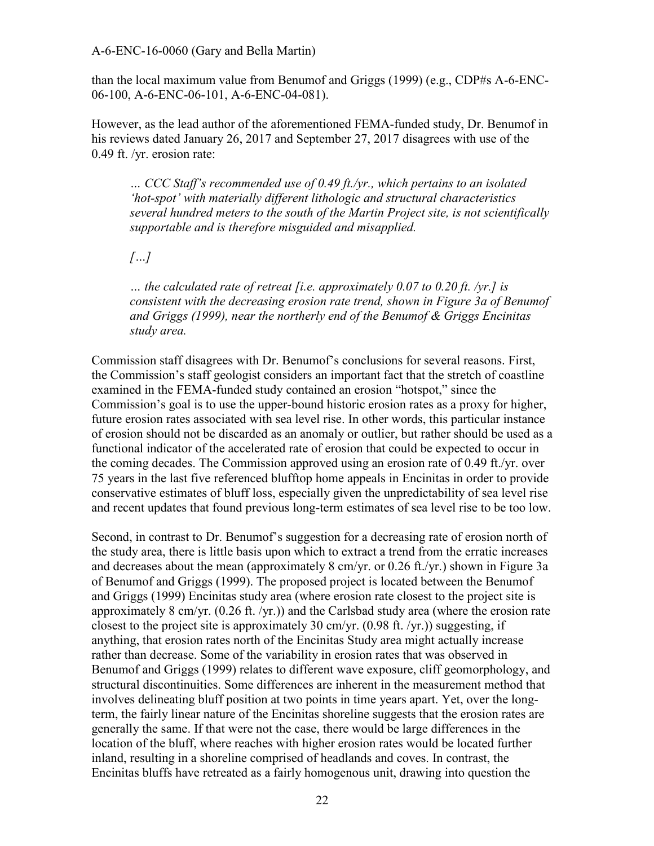than the local maximum value from Benumof and Griggs (1999) (e.g., CDP#s A-6-ENC-06-100, A-6-ENC-06-101, A-6-ENC-04-081).

However, as the lead author of the aforementioned FEMA-funded study, Dr. Benumof in his reviews dated January 26, 2017 and September 27, 2017 disagrees with use of the 0.49 ft. /yr. erosion rate:

*… CCC Staff's recommended use of 0.49 ft./yr., which pertains to an isolated 'hot-spot' with materially different lithologic and structural characteristics several hundred meters to the south of the Martin Project site, is not scientifically supportable and is therefore misguided and misapplied.* 

*[…]* 

*… the calculated rate of retreat [i.e. approximately 0.07 to 0.20 ft. /yr.] is consistent with the decreasing erosion rate trend, shown in Figure 3a of Benumof and Griggs (1999), near the northerly end of the Benumof & Griggs Encinitas study area.*

Commission staff disagrees with Dr. Benumof's conclusions for several reasons. First, the Commission's staff geologist considers an important fact that the stretch of coastline examined in the FEMA-funded study contained an erosion "hotspot," since the Commission's goal is to use the upper-bound historic erosion rates as a proxy for higher, future erosion rates associated with sea level rise. In other words, this particular instance of erosion should not be discarded as an anomaly or outlier, but rather should be used as a functional indicator of the accelerated rate of erosion that could be expected to occur in the coming decades. The Commission approved using an erosion rate of 0.49 ft./yr. over 75 years in the last five referenced blufftop home appeals in Encinitas in order to provide conservative estimates of bluff loss, especially given the unpredictability of sea level rise and recent updates that found previous long-term estimates of sea level rise to be too low.

Second, in contrast to Dr. Benumof's suggestion for a decreasing rate of erosion north of the study area, there is little basis upon which to extract a trend from the erratic increases and decreases about the mean (approximately 8 cm/yr. or 0.26 ft./yr.) shown in Figure 3a of Benumof and Griggs (1999). The proposed project is located between the Benumof and Griggs (1999) Encinitas study area (where erosion rate closest to the project site is approximately 8 cm/yr. (0.26 ft. /yr.)) and the Carlsbad study area (where the erosion rate closest to the project site is approximately 30 cm/yr. (0.98 ft. /yr.)) suggesting, if anything, that erosion rates north of the Encinitas Study area might actually increase rather than decrease. Some of the variability in erosion rates that was observed in Benumof and Griggs (1999) relates to different wave exposure, cliff geomorphology, and structural discontinuities. Some differences are inherent in the measurement method that involves delineating bluff position at two points in time years apart. Yet, over the longterm, the fairly linear nature of the Encinitas shoreline suggests that the erosion rates are generally the same. If that were not the case, there would be large differences in the location of the bluff, where reaches with higher erosion rates would be located further inland, resulting in a shoreline comprised of headlands and coves. In contrast, the Encinitas bluffs have retreated as a fairly homogenous unit, drawing into question the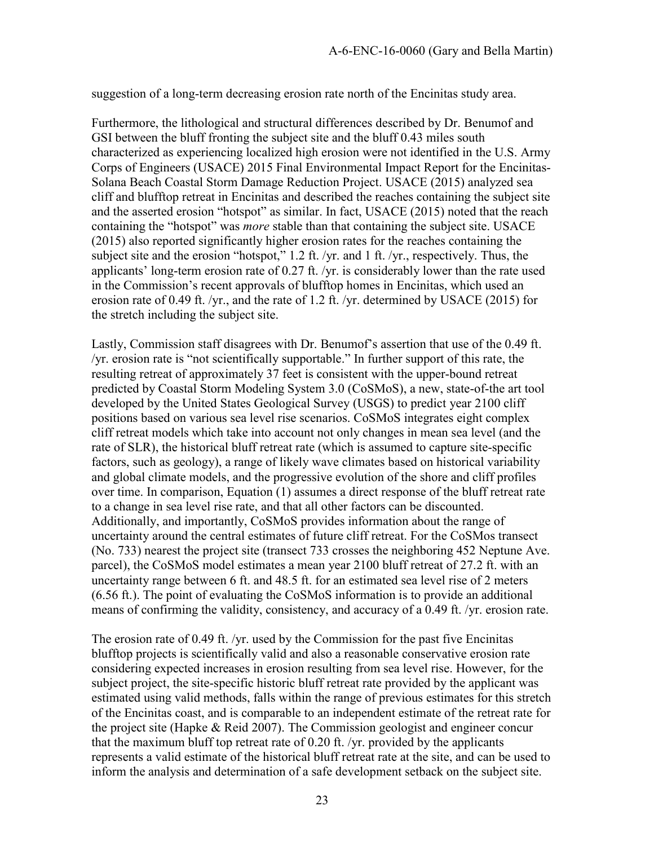suggestion of a long-term decreasing erosion rate north of the Encinitas study area.

Furthermore, the lithological and structural differences described by Dr. Benumof and GSI between the bluff fronting the subject site and the bluff 0.43 miles south characterized as experiencing localized high erosion were not identified in the U.S. Army Corps of Engineers (USACE) 2015 Final Environmental Impact Report for the Encinitas-Solana Beach Coastal Storm Damage Reduction Project. USACE (2015) analyzed sea cliff and blufftop retreat in Encinitas and described the reaches containing the subject site and the asserted erosion "hotspot" as similar. In fact, USACE (2015) noted that the reach containing the "hotspot" was *more* stable than that containing the subject site. USACE (2015) also reported significantly higher erosion rates for the reaches containing the subject site and the erosion "hotspot," 1.2 ft. /yr. and 1 ft. /yr., respectively. Thus, the applicants' long-term erosion rate of 0.27 ft. /yr. is considerably lower than the rate used in the Commission's recent approvals of blufftop homes in Encinitas, which used an erosion rate of 0.49 ft. /yr., and the rate of 1.2 ft. /yr. determined by USACE (2015) for the stretch including the subject site.

Lastly, Commission staff disagrees with Dr. Benumof's assertion that use of the 0.49 ft. /yr. erosion rate is "not scientifically supportable." In further support of this rate, the resulting retreat of approximately 37 feet is consistent with the upper-bound retreat predicted by Coastal Storm Modeling System 3.0 (CoSMoS), a new, state-of-the art tool developed by the United States Geological Survey (USGS) to predict year 2100 cliff positions based on various sea level rise scenarios. CoSMoS integrates eight complex cliff retreat models which take into account not only changes in mean sea level (and the rate of SLR), the historical bluff retreat rate (which is assumed to capture site-specific factors, such as geology), a range of likely wave climates based on historical variability and global climate models, and the progressive evolution of the shore and cliff profiles over time. In comparison, Equation (1) assumes a direct response of the bluff retreat rate to a change in sea level rise rate, and that all other factors can be discounted. Additionally, and importantly, CoSMoS provides information about the range of uncertainty around the central estimates of future cliff retreat. For the CoSMos transect (No. 733) nearest the project site (transect 733 crosses the neighboring 452 Neptune Ave. parcel), the CoSMoS model estimates a mean year 2100 bluff retreat of 27.2 ft. with an uncertainty range between 6 ft. and 48.5 ft. for an estimated sea level rise of 2 meters (6.56 ft.). The point of evaluating the CoSMoS information is to provide an additional means of confirming the validity, consistency, and accuracy of a 0.49 ft. /yr. erosion rate.

The erosion rate of 0.49 ft. /yr. used by the Commission for the past five Encinitas blufftop projects is scientifically valid and also a reasonable conservative erosion rate considering expected increases in erosion resulting from sea level rise. However, for the subject project, the site-specific historic bluff retreat rate provided by the applicant was estimated using valid methods, falls within the range of previous estimates for this stretch of the Encinitas coast, and is comparable to an independent estimate of the retreat rate for the project site (Hapke & Reid 2007). The Commission geologist and engineer concur that the maximum bluff top retreat rate of 0.20 ft. /yr. provided by the applicants represents a valid estimate of the historical bluff retreat rate at the site, and can be used to inform the analysis and determination of a safe development setback on the subject site.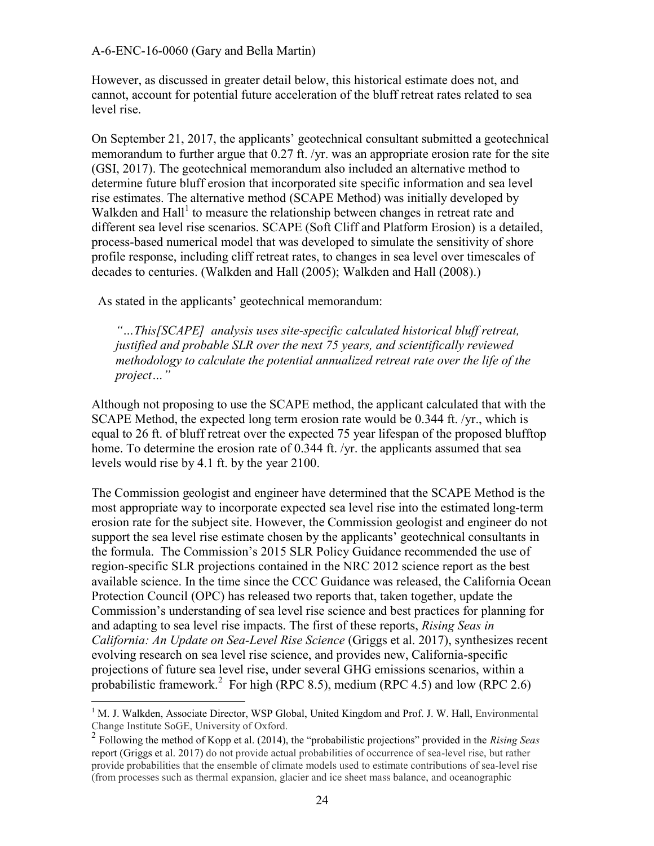However, as discussed in greater detail below, this historical estimate does not, and cannot, account for potential future acceleration of the bluff retreat rates related to sea level rise.

On September 21, 2017, the applicants' geotechnical consultant submitted a geotechnical memorandum to further argue that 0.27 ft. /yr. was an appropriate erosion rate for the site (GSI, 2017). The geotechnical memorandum also included an alternative method to determine future bluff erosion that incorporated site specific information and sea level rise estimates. The alternative method (SCAPE Method) was initially developed by Walkden and Hall<sup>1</sup> to measure the relationship between changes in retreat rate and different sea level rise scenarios. SCAPE (Soft Cliff and Platform Erosion) is a detailed, process-based numerical model that was developed to simulate the sensitivity of shore profile response, including cliff retreat rates, to changes in sea level over timescales of decades to centuries. (Walkden and Hall (2005); Walkden and Hall (2008).)

As stated in the applicants' geotechnical memorandum:

*"…This[SCAPE] analysis uses site-specific calculated historical bluff retreat, justified and probable SLR over the next 75 years, and scientifically reviewed methodology to calculate the potential annualized retreat rate over the life of the project…"*

Although not proposing to use the SCAPE method, the applicant calculated that with the SCAPE Method, the expected long term erosion rate would be 0.344 ft. /yr., which is equal to 26 ft. of bluff retreat over the expected 75 year lifespan of the proposed blufftop home. To determine the erosion rate of 0.344 ft. /yr. the applicants assumed that sea levels would rise by 4.1 ft. by the year 2100.

The Commission geologist and engineer have determined that the SCAPE Method is the most appropriate way to incorporate expected sea level rise into the estimated long-term erosion rate for the subject site. However, the Commission geologist and engineer do not support the sea level rise estimate chosen by the applicants' geotechnical consultants in the formula. The Commission's 2015 SLR Policy Guidance recommended the use of region-specific SLR projections contained in the NRC 2012 science report as the best available science. In the time since the CCC Guidance was released, the California Ocean Protection Council (OPC) has released two reports that, taken together, update the Commission's understanding of sea level rise science and best practices for planning for and adapting to sea level rise impacts. The first of these reports, *Rising Seas in California: An Update on Sea-Level Rise Science* (Griggs et al. 2017), synthesizes recent evolving research on sea level rise science, and provides new, California-specific projections of future sea level rise, under several GHG emissions scenarios, within a probabilistic framework.<sup>2</sup> For high (RPC 8.5), medium (RPC 4.5) and low (RPC 2.6)

 $\overline{a}$ 

<sup>&</sup>lt;sup>1</sup> M. J. Walkden, Associate Director, WSP Global, United Kingdom and Prof. J. W. Hall, Environmental Change Institute SoGE, University of Oxford.

<sup>2</sup> Following the method of Kopp et al. (2014), the "probabilistic projections" provided in the *Rising Seas* report (Griggs et al. 2017) do not provide actual probabilities of occurrence of sea-level rise, but rather provide probabilities that the ensemble of climate models used to estimate contributions of sea-level rise (from processes such as thermal expansion, glacier and ice sheet mass balance, and oceanographic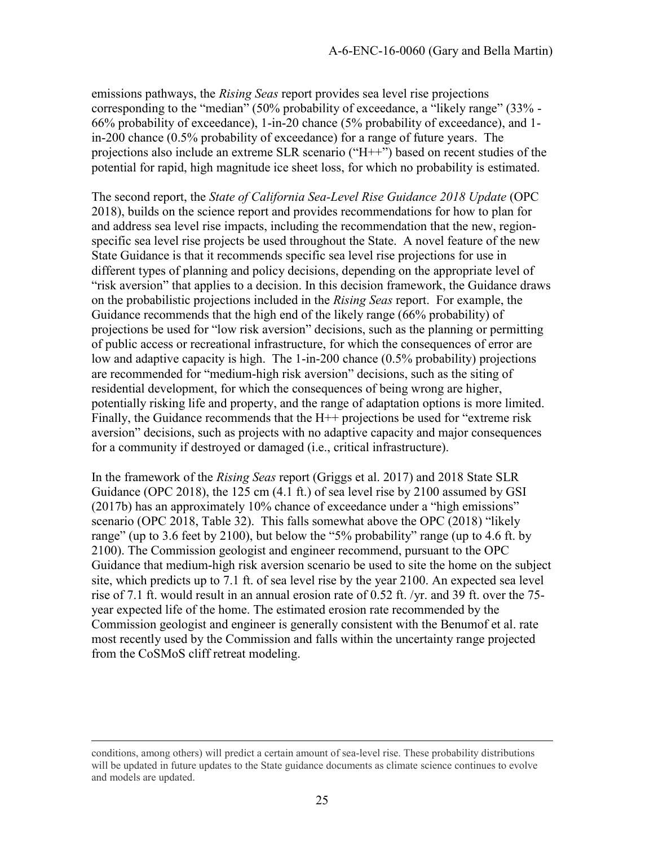emissions pathways, the *Rising Seas* report provides sea level rise projections corresponding to the "median" (50% probability of exceedance, a "likely range" (33% - 66% probability of exceedance), 1-in-20 chance (5% probability of exceedance), and 1 in-200 chance (0.5% probability of exceedance) for a range of future years. The projections also include an extreme SLR scenario ("H++") based on recent studies of the potential for rapid, high magnitude ice sheet loss, for which no probability is estimated.

The second report, the *State of California Sea-Level Rise Guidance 2018 Update* (OPC 2018), builds on the science report and provides recommendations for how to plan for and address sea level rise impacts, including the recommendation that the new, regionspecific sea level rise projects be used throughout the State. A novel feature of the new State Guidance is that it recommends specific sea level rise projections for use in different types of planning and policy decisions, depending on the appropriate level of "risk aversion" that applies to a decision. In this decision framework, the Guidance draws on the probabilistic projections included in the *Rising Seas* report. For example, the Guidance recommends that the high end of the likely range (66% probability) of projections be used for "low risk aversion" decisions, such as the planning or permitting of public access or recreational infrastructure, for which the consequences of error are low and adaptive capacity is high. The 1-in-200 chance (0.5% probability) projections are recommended for "medium-high risk aversion" decisions, such as the siting of residential development, for which the consequences of being wrong are higher, potentially risking life and property, and the range of adaptation options is more limited. Finally, the Guidance recommends that the H++ projections be used for "extreme risk aversion" decisions, such as projects with no adaptive capacity and major consequences for a community if destroyed or damaged (i.e., critical infrastructure).

In the framework of the *Rising Seas* report (Griggs et al. 2017) and 2018 State SLR Guidance (OPC 2018), the 125 cm  $(4.1 \text{ ft.})$  of sea level rise by 2100 assumed by GSI (2017b) has an approximately 10% chance of exceedance under a "high emissions" scenario (OPC 2018, Table 32). This falls somewhat above the OPC (2018) "likely range" (up to 3.6 feet by 2100), but below the "5% probability" range (up to 4.6 ft. by 2100). The Commission geologist and engineer recommend, pursuant to the OPC Guidance that medium-high risk aversion scenario be used to site the home on the subject site, which predicts up to 7.1 ft. of sea level rise by the year 2100. An expected sea level rise of 7.1 ft. would result in an annual erosion rate of 0.52 ft. /yr. and 39 ft. over the 75 year expected life of the home. The estimated erosion rate recommended by the Commission geologist and engineer is generally consistent with the Benumof et al. rate most recently used by the Commission and falls within the uncertainty range projected from the CoSMoS cliff retreat modeling.

 $\overline{a}$ 

conditions, among others) will predict a certain amount of sea-level rise. These probability distributions will be updated in future updates to the State guidance documents as climate science continues to evolve and models are updated.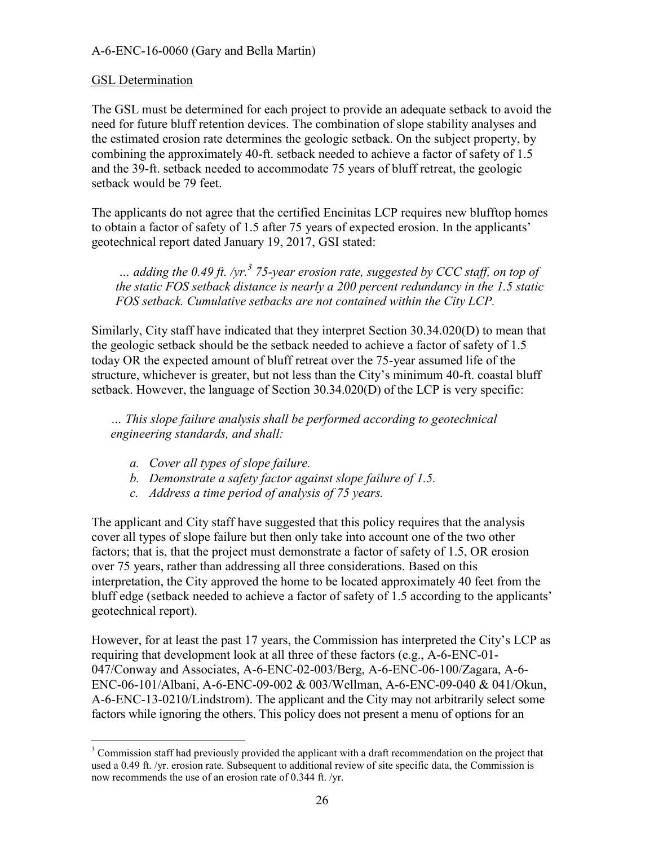#### GSL Determination

The GSL must be determined for each project to provide an adequate setback to avoid the need for future bluff retention devices. The combination of slope stability analyses and the estimated erosion rate determines the geologic setback. On the subject property, by combining the approximately 40-ft. setback needed to achieve a factor of safety of 1.5 and the 39-ft. setback needed to accommodate 75 years of bluff retreat, the geologic setback would be 79 feet.

The applicants do not agree that the certified Encinitas LCP requires new blufftop homes to obtain a factor of safety of 1.5 after 75 years of expected erosion. In the applicants' geotechnical report dated January 19, 2017, GSI stated:

*… adding the 0.49 ft. /yr.<sup>3</sup> 75-year erosion rate, suggested by CCC staff, on top of the static FOS setback distance is nearly a 200 percent redundancy in the 1.5 static FOS setback. Cumulative setbacks are not contained within the City LCP.* 

Similarly, City staff have indicated that they interpret Section 30.34.020(D) to mean that the geologic setback should be the setback needed to achieve a factor of safety of 1.5 today OR the expected amount of bluff retreat over the 75-year assumed life of the structure, whichever is greater, but not less than the City's minimum 40-ft. coastal bluff setback. However, the language of Section 30.34.020(D) of the LCP is very specific:

*… This slope failure analysis shall be performed according to geotechnical engineering standards, and shall:* 

- *a. Cover all types of slope failure.*
- *b. Demonstrate a safety factor against slope failure of 1.5.*
- *c. Address a time period of analysis of 75 years.*

The applicant and City staff have suggested that this policy requires that the analysis cover all types of slope failure but then only take into account one of the two other factors; that is, that the project must demonstrate a factor of safety of 1.5, OR erosion over 75 years, rather than addressing all three considerations. Based on this interpretation, the City approved the home to be located approximately 40 feet from the bluff edge (setback needed to achieve a factor of safety of 1.5 according to the applicants' geotechnical report).

However, for at least the past 17 years, the Commission has interpreted the City's LCP as requiring that development look at all three of these factors (e.g., A-6-ENC-01- 047/Conway and Associates, A-6-ENC-02-003/Berg, A-6-ENC-06-100/Zagara, A-6- ENC-06-101/Albani, A-6-ENC-09-002 & 003/Wellman, A-6-ENC-09-040 & 041/Okun, A-6-ENC-13-0210/Lindstrom). The applicant and the City may not arbitrarily select some factors while ignoring the others. This policy does not present a menu of options for an

<sup>&</sup>lt;sup>3</sup> Commission staff had previously provided the applicant with a draft recommendation on the project that used a 0.49 ft. /yr. erosion rate. Subsequent to additional review of site specific data, the Commission is now recommends the use of an erosion rate of 0.344 ft. /yr.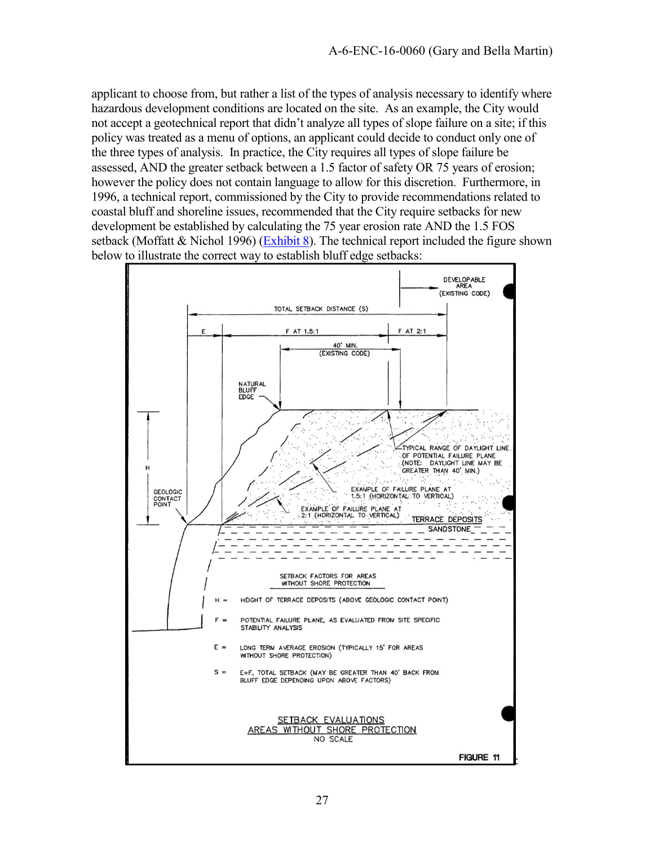applicant to choose from, but rather a list of the types of analysis necessary to identify where hazardous development conditions are located on the site. As an example, the City would not accept a geotechnical report that didn't analyze all types of slope failure on a site; if this policy was treated as a menu of options, an applicant could decide to conduct only one of the three types of analysis. In practice, the City requires all types of slope failure be assessed, AND the greater setback between a 1.5 factor of safety OR 75 years of erosion; however the policy does not contain language to allow for this discretion. Furthermore, in 1996, a technical report, commissioned by the City to provide recommendations related to coastal bluff and shoreline issues, recommended that the City require setbacks for new development be established by calculating the 75 year erosion rate AND the 1.5 FOS setback (Moffatt & Nichol 1996) [\(Exhibit 8\)](https://documents.coastal.ca.gov/reports/2018/8/w20a/w20a-8-2018-exhibits.pdf). The technical report included the figure shown below to illustrate the correct way to establish bluff edge setbacks:

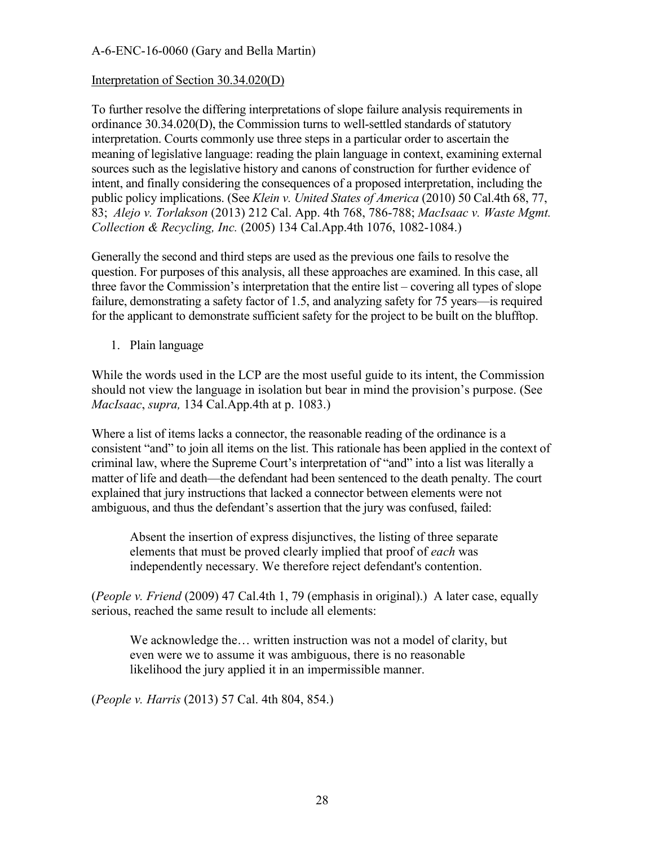#### Interpretation of Section 30.34.020(D)

To further resolve the differing interpretations of slope failure analysis requirements in ordinance 30.34.020(D), the Commission turns to well-settled standards of statutory interpretation. Courts commonly use three steps in a particular order to ascertain the meaning of legislative language: reading the plain language in context, examining external sources such as the legislative history and canons of construction for further evidence of intent, and finally considering the consequences of a proposed interpretation, including the public policy implications. (See *Klein v. United States of America* (2010) 50 Cal.4th 68, 77, 83; *Alejo v. Torlakson* (2013) 212 Cal. App. 4th 768, 786-788; *MacIsaac v. Waste Mgmt. Collection & Recycling, Inc.* (2005) 134 Cal.App.4th 1076, 1082-1084.)

Generally the second and third steps are used as the previous one fails to resolve the question. For purposes of this analysis, all these approaches are examined. In this case, all three favor the Commission's interpretation that the entire list – covering all types of slope failure, demonstrating a safety factor of 1.5, and analyzing safety for 75 years—is required for the applicant to demonstrate sufficient safety for the project to be built on the blufftop.

1. Plain language

While the words used in the LCP are the most useful guide to its intent, the Commission should not view the language in isolation but bear in mind the provision's purpose. (See *MacIsaac*, *supra,* 134 Cal.App.4th at p. 1083.)

Where a list of items lacks a connector, the reasonable reading of the ordinance is a consistent "and" to join all items on the list. This rationale has been applied in the context of criminal law, where the Supreme Court's interpretation of "and" into a list was literally a matter of life and death—the defendant had been sentenced to the death penalty. The court explained that jury instructions that lacked a connector between elements were not ambiguous, and thus the defendant's assertion that the jury was confused, failed:

Absent the insertion of express disjunctives, the listing of three separate elements that must be proved clearly implied that proof of *each* was independently necessary. We therefore reject defendant's contention.

(*People v. Friend* (2009) 47 Cal.4th 1, 79 (emphasis in original).) A later case, equally serious, reached the same result to include all elements:

We acknowledge the… written instruction was not a model of clarity, but even were we to assume it was ambiguous, there is no reasonable likelihood the jury applied it in an impermissible manner.

(*People v. Harris* (2013) 57 Cal. 4th 804, 854.)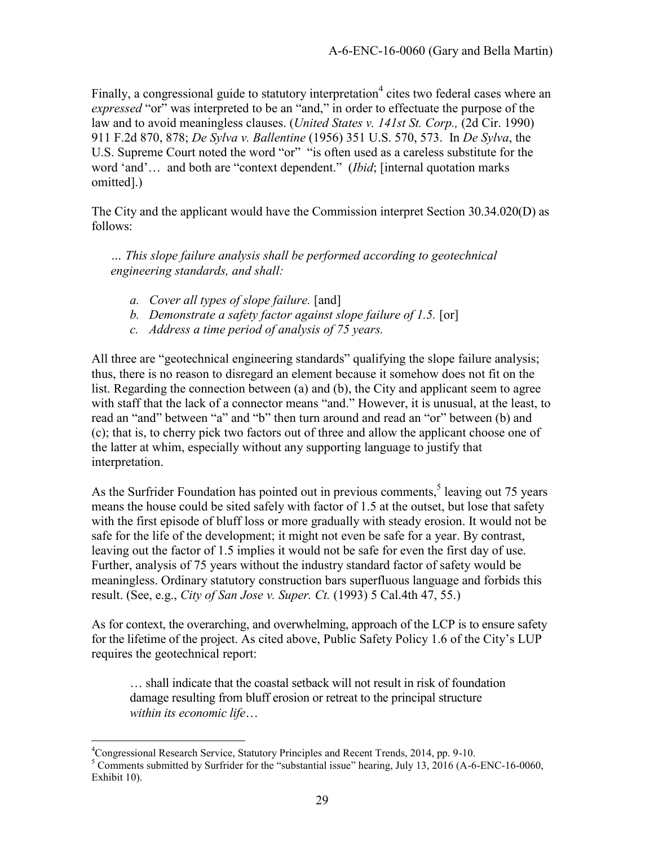Finally, a congressional guide to statutory interpretation<sup>4</sup> cites two federal cases where an *expressed* "or" was interpreted to be an "and," in order to effectuate the purpose of the law and to avoid meaningless clauses. (*United States v. 141st St. Corp.,* (2d Cir. 1990) 911 F.2d 870, 878; *De Sylva v. Ballentine* (1956) 351 U.S. 570, 573. In *De Sylva*, the U.S. Supreme Court noted the word "or" "is often used as a careless substitute for the word 'and'… and both are "context dependent." (*Ibid*; [internal quotation marks omitted].)

The City and the applicant would have the Commission interpret Section 30.34.020(D) as follows:

*… This slope failure analysis shall be performed according to geotechnical engineering standards, and shall:* 

- *a. Cover all types of slope failure.* [and]
- *b. Demonstrate a safety factor against slope failure of 1.5.* [or]
- *c. Address a time period of analysis of 75 years.*

All three are "geotechnical engineering standards" qualifying the slope failure analysis; thus, there is no reason to disregard an element because it somehow does not fit on the list. Regarding the connection between (a) and (b), the City and applicant seem to agree with staff that the lack of a connector means "and." However, it is unusual, at the least, to read an "and" between "a" and "b" then turn around and read an "or" between (b) and (c); that is, to cherry pick two factors out of three and allow the applicant choose one of the latter at whim, especially without any supporting language to justify that interpretation.

As the Surfrider Foundation has pointed out in previous comments,<sup>5</sup> leaving out 75 years means the house could be sited safely with factor of 1.5 at the outset, but lose that safety with the first episode of bluff loss or more gradually with steady erosion. It would not be safe for the life of the development; it might not even be safe for a year. By contrast, leaving out the factor of 1.5 implies it would not be safe for even the first day of use. Further, analysis of 75 years without the industry standard factor of safety would be meaningless. Ordinary statutory construction bars superfluous language and forbids this result. (See, e.g., *City of San Jose v. Super. Ct.* (1993) 5 Cal.4th 47, 55.)

As for context, the overarching, and overwhelming, approach of the LCP is to ensure safety for the lifetime of the project. As cited above, Public Safety Policy 1.6 of the City's LUP requires the geotechnical report:

… shall indicate that the coastal setback will not result in risk of foundation damage resulting from bluff erosion or retreat to the principal structure *within its economic life*…

 $\overline{a}$ <sup>4</sup>Congressional Research Service, Statutory Principles and Recent Trends, 2014, pp. 9-10.

 $<sup>5</sup>$  Comments submitted by Surfrider for the "substantial issue" hearing, July 13, 2016 (A-6-ENC-16-0060,</sup> Exhibit 10).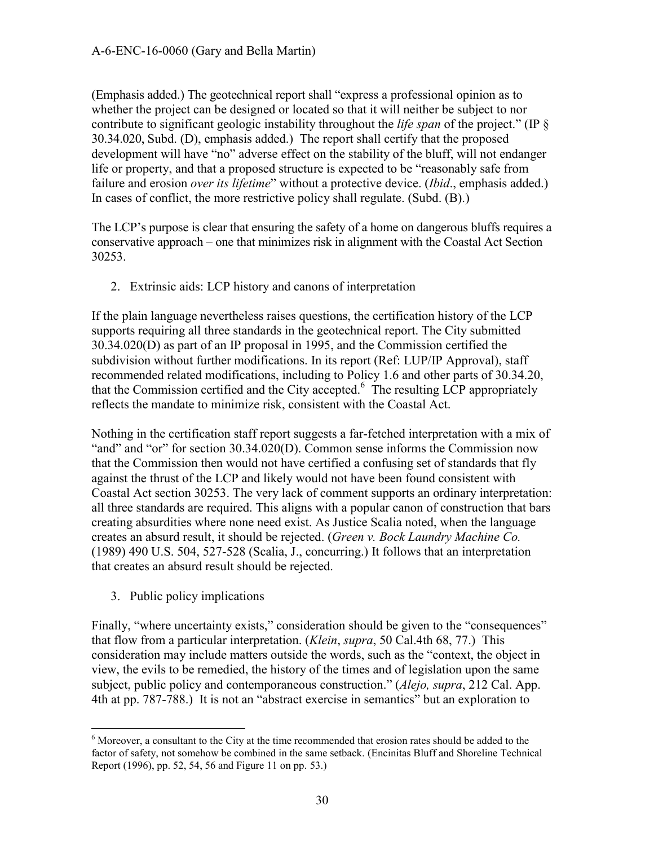(Emphasis added.) The geotechnical report shall "express a professional opinion as to whether the project can be designed or located so that it will neither be subject to nor contribute to significant geologic instability throughout the *life span* of the project." (IP § 30.34.020, Subd. (D), emphasis added.) The report shall certify that the proposed development will have "no" adverse effect on the stability of the bluff, will not endanger life or property, and that a proposed structure is expected to be "reasonably safe from failure and erosion *over its lifetime*" without a protective device. (*Ibid*., emphasis added.) In cases of conflict, the more restrictive policy shall regulate. (Subd. (B).)

The LCP's purpose is clear that ensuring the safety of a home on dangerous bluffs requires a conservative approach – one that minimizes risk in alignment with the Coastal Act Section 30253.

2. Extrinsic aids: LCP history and canons of interpretation

If the plain language nevertheless raises questions, the certification history of the LCP supports requiring all three standards in the geotechnical report. The City submitted 30.34.020(D) as part of an IP proposal in 1995, and the Commission certified the subdivision without further modifications. In its report (Ref: LUP/IP Approval), staff recommended related modifications, including to Policy 1.6 and other parts of 30.34.20, that the Commission certified and the City accepted.<sup>6</sup> The resulting LCP appropriately reflects the mandate to minimize risk, consistent with the Coastal Act.

Nothing in the certification staff report suggests a far-fetched interpretation with a mix of "and" and "or" for section 30.34.020(D). Common sense informs the Commission now that the Commission then would not have certified a confusing set of standards that fly against the thrust of the LCP and likely would not have been found consistent with Coastal Act section 30253. The very lack of comment supports an ordinary interpretation: all three standards are required. This aligns with a popular canon of construction that bars creating absurdities where none need exist. As Justice Scalia noted, when the language creates an absurd result, it should be rejected. (*Green v. Bock Laundry Machine Co.* (1989) 490 U.S. 504, 527-528 (Scalia, J., concurring.) It follows that an interpretation that creates an absurd result should be rejected.

3. Public policy implications

Finally, "where uncertainty exists," consideration should be given to the "consequences" that flow from a particular interpretation. (*Klein*, *supra*, 50 Cal.4th 68, 77.) This consideration may include matters outside the words, such as the "context, the object in view, the evils to be remedied, the history of the times and of legislation upon the same subject, public policy and contemporaneous construction." (*Alejo, supra*, 212 Cal. App. 4th at pp. 787-788.) It is not an "abstract exercise in semantics" but an exploration to

 $\overline{a}$ <sup>6</sup> Moreover, a consultant to the City at the time recommended that erosion rates should be added to the factor of safety, not somehow be combined in the same setback. (Encinitas Bluff and Shoreline Technical Report (1996), pp. 52, 54, 56 and Figure 11 on pp. 53.)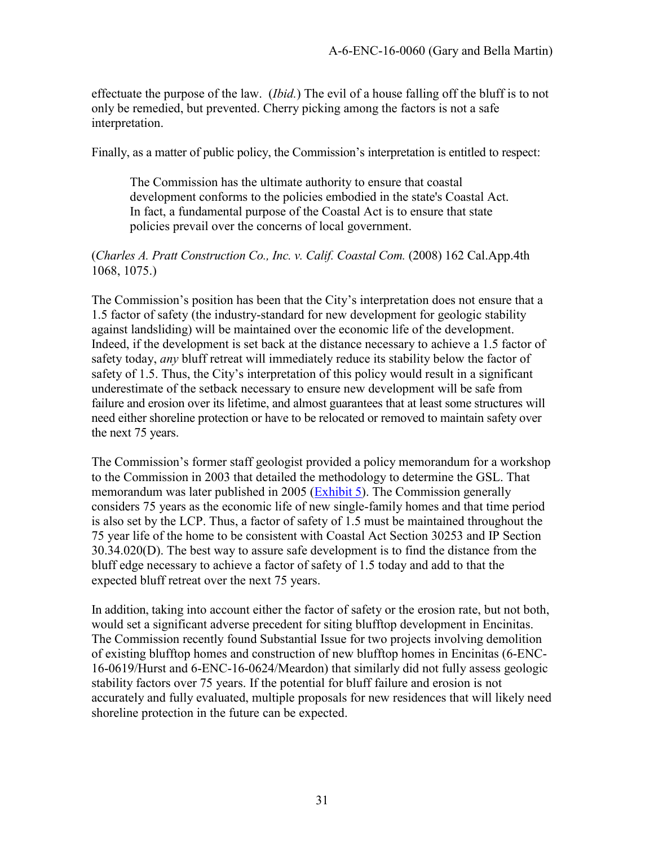effectuate the purpose of the law. (*Ibid.*) The evil of a house falling off the bluff is to not only be remedied, but prevented. Cherry picking among the factors is not a safe interpretation.

Finally, as a matter of public policy, the Commission's interpretation is entitled to respect:

The Commission has the ultimate authority to ensure that coastal development conforms to the policies embodied in the state's Coastal Act. In fact, a fundamental purpose of the Coastal Act is to ensure that state policies prevail over the concerns of local government.

#### (*Charles A. Pratt Construction Co., Inc. v. Calif. Coastal Com.* (2008) 162 Cal.App.4th 1068, 1075.)

The Commission's position has been that the City's interpretation does not ensure that a 1.5 factor of safety (the industry-standard for new development for geologic stability against landsliding) will be maintained over the economic life of the development. Indeed, if the development is set back at the distance necessary to achieve a 1.5 factor of safety today, *any* bluff retreat will immediately reduce its stability below the factor of safety of 1.5. Thus, the City's interpretation of this policy would result in a significant underestimate of the setback necessary to ensure new development will be safe from failure and erosion over its lifetime, and almost guarantees that at least some structures will need either shoreline protection or have to be relocated or removed to maintain safety over the next 75 years.

The Commission's former staff geologist provided a policy memorandum for a workshop to the Commission in 2003 that detailed the methodology to determine the GSL. That memorandum was later published in 2005 ( $\overline{\text{Exhibit 5}}$ ). The Commission generally considers 75 years as the economic life of new single-family homes and that time period is also set by the LCP. Thus, a factor of safety of 1.5 must be maintained throughout the 75 year life of the home to be consistent with Coastal Act Section 30253 and IP Section 30.34.020(D). The best way to assure safe development is to find the distance from the bluff edge necessary to achieve a factor of safety of 1.5 today and add to that the expected bluff retreat over the next 75 years.

In addition, taking into account either the factor of safety or the erosion rate, but not both, would set a significant adverse precedent for siting blufftop development in Encinitas. The Commission recently found Substantial Issue for two projects involving demolition of existing blufftop homes and construction of new blufftop homes in Encinitas (6-ENC-16-0619/Hurst and 6-ENC-16-0624/Meardon) that similarly did not fully assess geologic stability factors over 75 years. If the potential for bluff failure and erosion is not accurately and fully evaluated, multiple proposals for new residences that will likely need shoreline protection in the future can be expected.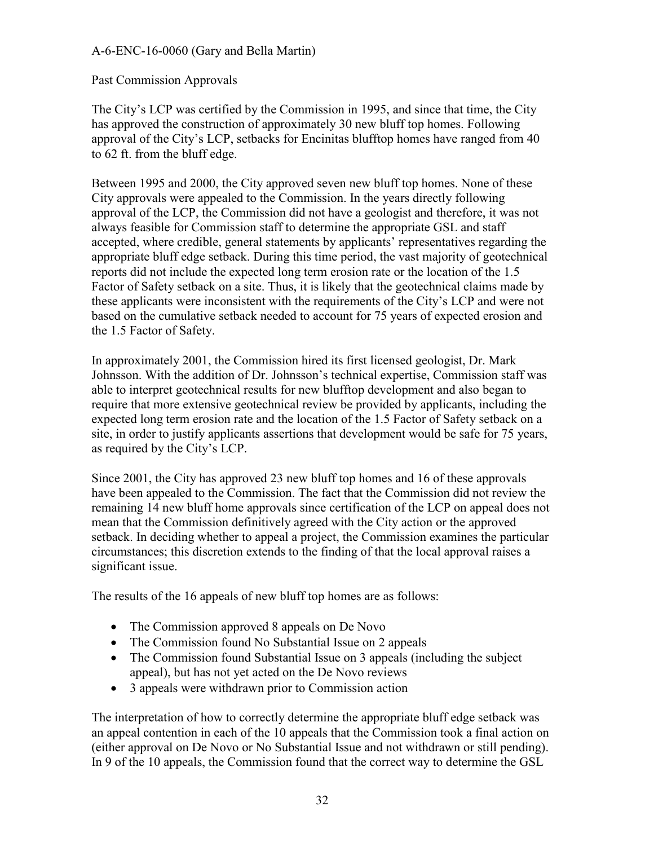#### Past Commission Approvals

The City's LCP was certified by the Commission in 1995, and since that time, the City has approved the construction of approximately 30 new bluff top homes. Following approval of the City's LCP, setbacks for Encinitas blufftop homes have ranged from 40 to 62 ft. from the bluff edge.

Between 1995 and 2000, the City approved seven new bluff top homes. None of these City approvals were appealed to the Commission. In the years directly following approval of the LCP, the Commission did not have a geologist and therefore, it was not always feasible for Commission staff to determine the appropriate GSL and staff accepted, where credible, general statements by applicants' representatives regarding the appropriate bluff edge setback. During this time period, the vast majority of geotechnical reports did not include the expected long term erosion rate or the location of the 1.5 Factor of Safety setback on a site. Thus, it is likely that the geotechnical claims made by these applicants were inconsistent with the requirements of the City's LCP and were not based on the cumulative setback needed to account for 75 years of expected erosion and the 1.5 Factor of Safety.

In approximately 2001, the Commission hired its first licensed geologist, Dr. Mark Johnsson. With the addition of Dr. Johnsson's technical expertise, Commission staff was able to interpret geotechnical results for new blufftop development and also began to require that more extensive geotechnical review be provided by applicants, including the expected long term erosion rate and the location of the 1.5 Factor of Safety setback on a site, in order to justify applicants assertions that development would be safe for 75 years, as required by the City's LCP.

Since 2001, the City has approved 23 new bluff top homes and 16 of these approvals have been appealed to the Commission. The fact that the Commission did not review the remaining 14 new bluff home approvals since certification of the LCP on appeal does not mean that the Commission definitively agreed with the City action or the approved setback. In deciding whether to appeal a project, the Commission examines the particular circumstances; this discretion extends to the finding of that the local approval raises a significant issue.

The results of the 16 appeals of new bluff top homes are as follows:

- The Commission approved 8 appeals on De Novo
- The Commission found No Substantial Issue on 2 appeals
- The Commission found Substantial Issue on 3 appeals (including the subject appeal), but has not yet acted on the De Novo reviews
- 3 appeals were withdrawn prior to Commission action

The interpretation of how to correctly determine the appropriate bluff edge setback was an appeal contention in each of the 10 appeals that the Commission took a final action on (either approval on De Novo or No Substantial Issue and not withdrawn or still pending). In 9 of the 10 appeals, the Commission found that the correct way to determine the GSL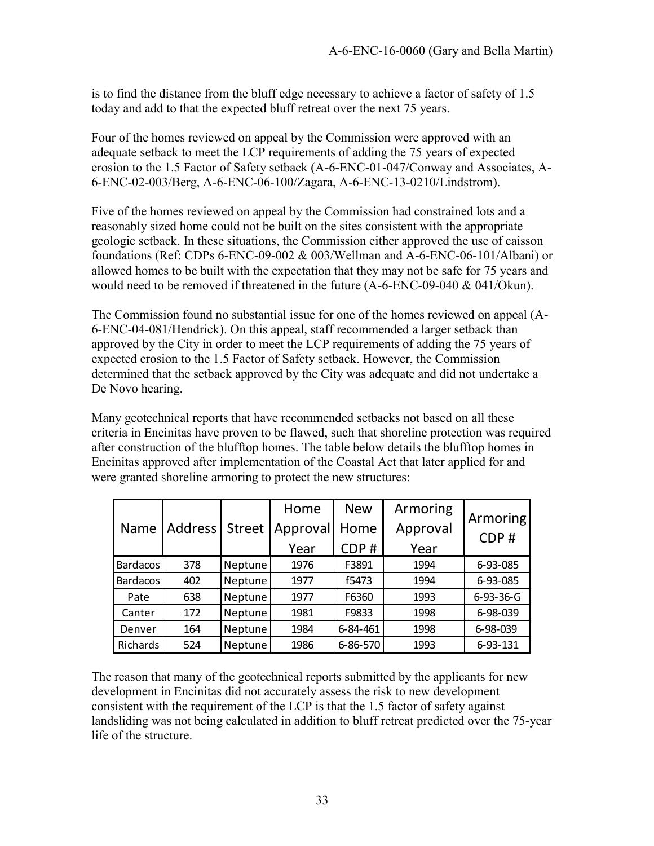is to find the distance from the bluff edge necessary to achieve a factor of safety of 1.5 today and add to that the expected bluff retreat over the next 75 years.

Four of the homes reviewed on appeal by the Commission were approved with an adequate setback to meet the LCP requirements of adding the 75 years of expected erosion to the 1.5 Factor of Safety setback (A-6-ENC-01-047/Conway and Associates, A-6-ENC-02-003/Berg, A-6-ENC-06-100/Zagara, A-6-ENC-13-0210/Lindstrom).

Five of the homes reviewed on appeal by the Commission had constrained lots and a reasonably sized home could not be built on the sites consistent with the appropriate geologic setback. In these situations, the Commission either approved the use of caisson foundations (Ref: CDPs 6-ENC-09-002 & 003/Wellman and A-6-ENC-06-101/Albani) or allowed homes to be built with the expectation that they may not be safe for 75 years and would need to be removed if threatened in the future (A-6-ENC-09-040 & 041/Okun).

The Commission found no substantial issue for one of the homes reviewed on appeal (A-6-ENC-04-081/Hendrick). On this appeal, staff recommended a larger setback than approved by the City in order to meet the LCP requirements of adding the 75 years of expected erosion to the 1.5 Factor of Safety setback. However, the Commission determined that the setback approved by the City was adequate and did not undertake a De Novo hearing.

Many geotechnical reports that have recommended setbacks not based on all these criteria in Encinitas have proven to be flawed, such that shoreline protection was required after construction of the blufftop homes. The table below details the blufftop homes in Encinitas approved after implementation of the Coastal Act that later applied for and

| <b>Name</b>     | Address <sup>1</sup> | <b>Street</b> | Home<br>Approval<br>Year | <b>New</b><br>Home<br>CDP# | Armoring<br>Approval<br>Year | Armoring<br>CDP# |
|-----------------|----------------------|---------------|--------------------------|----------------------------|------------------------------|------------------|
| <b>Bardacos</b> | 378                  | Neptune       | 1976                     | F3891                      | 1994                         | 6-93-085         |
| <b>Bardacos</b> | 402                  | Neptune       | 1977                     | f5473                      | 1994                         | 6-93-085         |
| Pate            | 638                  | Neptune       | 1977                     | F6360                      | 1993                         | $6-93-36-G$      |
| Canter          | 172                  | Neptune       | 1981                     | F9833                      | 1998                         | 6-98-039         |
| Denver          | 164                  | Neptune       | 1984                     | 6-84-461                   | 1998                         | 6-98-039         |
| Richards        | 524                  | Neptune       | 1986                     | 6-86-570                   | 1993                         | 6-93-131         |

The reason that many of the geotechnical reports submitted by the applicants for new development in Encinitas did not accurately assess the risk to new development consistent with the requirement of the LCP is that the 1.5 factor of safety against landsliding was not being calculated in addition to bluff retreat predicted over the 75-year life of the structure.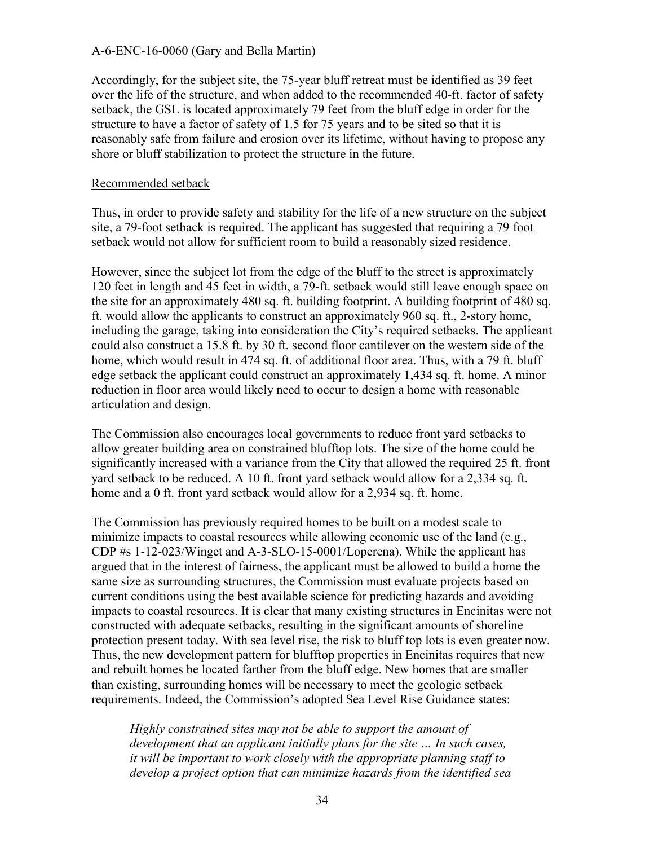Accordingly, for the subject site, the 75-year bluff retreat must be identified as 39 feet over the life of the structure, and when added to the recommended 40-ft. factor of safety setback, the GSL is located approximately 79 feet from the bluff edge in order for the structure to have a factor of safety of 1.5 for 75 years and to be sited so that it is reasonably safe from failure and erosion over its lifetime, without having to propose any shore or bluff stabilization to protect the structure in the future.

#### Recommended setback

Thus, in order to provide safety and stability for the life of a new structure on the subject site, a 79-foot setback is required. The applicant has suggested that requiring a 79 foot setback would not allow for sufficient room to build a reasonably sized residence.

However, since the subject lot from the edge of the bluff to the street is approximately 120 feet in length and 45 feet in width, a 79-ft. setback would still leave enough space on the site for an approximately 480 sq. ft. building footprint. A building footprint of 480 sq. ft. would allow the applicants to construct an approximately 960 sq. ft., 2-story home, including the garage, taking into consideration the City's required setbacks. The applicant could also construct a 15.8 ft. by 30 ft. second floor cantilever on the western side of the home, which would result in 474 sq. ft. of additional floor area. Thus, with a 79 ft. bluff edge setback the applicant could construct an approximately 1,434 sq. ft. home. A minor reduction in floor area would likely need to occur to design a home with reasonable articulation and design.

The Commission also encourages local governments to reduce front yard setbacks to allow greater building area on constrained blufftop lots. The size of the home could be significantly increased with a variance from the City that allowed the required 25 ft. front yard setback to be reduced. A 10 ft. front yard setback would allow for a 2,334 sq. ft. home and a 0 ft. front yard setback would allow for a 2,934 sq. ft. home.

The Commission has previously required homes to be built on a modest scale to minimize impacts to coastal resources while allowing economic use of the land (e.g., CDP #s 1-12-023/Winget and A-3-SLO-15-0001/Loperena). While the applicant has argued that in the interest of fairness, the applicant must be allowed to build a home the same size as surrounding structures, the Commission must evaluate projects based on current conditions using the best available science for predicting hazards and avoiding impacts to coastal resources. It is clear that many existing structures in Encinitas were not constructed with adequate setbacks, resulting in the significant amounts of shoreline protection present today. With sea level rise, the risk to bluff top lots is even greater now. Thus, the new development pattern for blufftop properties in Encinitas requires that new and rebuilt homes be located farther from the bluff edge. New homes that are smaller than existing, surrounding homes will be necessary to meet the geologic setback requirements. Indeed, the Commission's adopted Sea Level Rise Guidance states:

*Highly constrained sites may not be able to support the amount of development that an applicant initially plans for the site … In such cases, it will be important to work closely with the appropriate planning staff to develop a project option that can minimize hazards from the identified sea*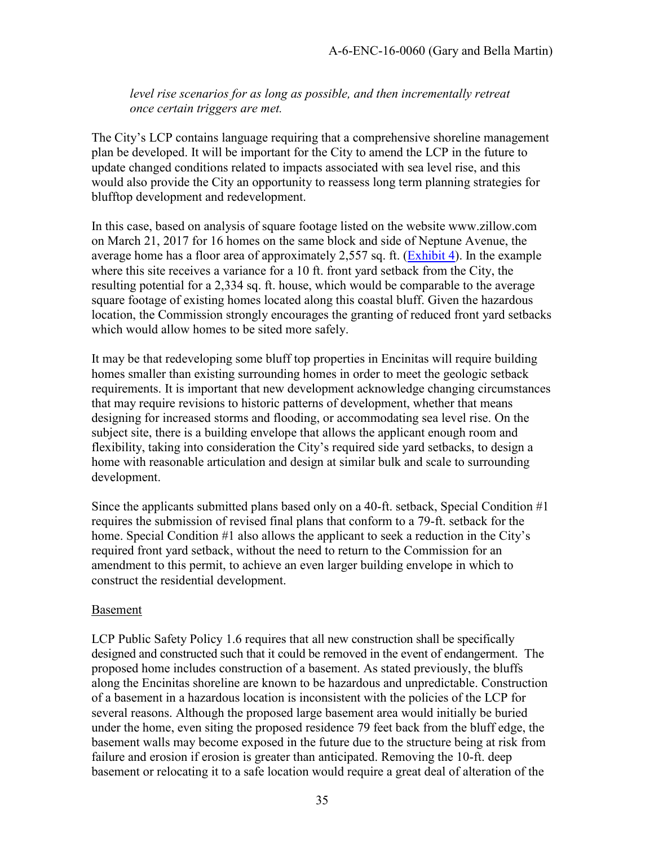*level rise scenarios for as long as possible, and then incrementally retreat once certain triggers are met.* 

The City's LCP contains language requiring that a comprehensive shoreline management plan be developed. It will be important for the City to amend the LCP in the future to update changed conditions related to impacts associated with sea level rise, and this would also provide the City an opportunity to reassess long term planning strategies for blufftop development and redevelopment.

In this case, based on analysis of square footage listed on the website www.zillow.com on March 21, 2017 for 16 homes on the same block and side of Neptune Avenue, the average home has a floor area of approximately 2,557 sq. ft. [\(Exhibit 4\)](https://documents.coastal.ca.gov/reports/2018/8/w20a/w20a-8-2018-exhibits.pdf). In the example where this site receives a variance for a 10 ft. front yard setback from the City, the resulting potential for a 2,334 sq. ft. house, which would be comparable to the average square footage of existing homes located along this coastal bluff. Given the hazardous location, the Commission strongly encourages the granting of reduced front yard setbacks which would allow homes to be sited more safely.

It may be that redeveloping some bluff top properties in Encinitas will require building homes smaller than existing surrounding homes in order to meet the geologic setback requirements. It is important that new development acknowledge changing circumstances that may require revisions to historic patterns of development, whether that means designing for increased storms and flooding, or accommodating sea level rise. On the subject site, there is a building envelope that allows the applicant enough room and flexibility, taking into consideration the City's required side yard setbacks, to design a home with reasonable articulation and design at similar bulk and scale to surrounding development.

Since the applicants submitted plans based only on a 40-ft. setback, Special Condition #1 requires the submission of revised final plans that conform to a 79-ft. setback for the home. Special Condition #1 also allows the applicant to seek a reduction in the City's required front yard setback, without the need to return to the Commission for an amendment to this permit, to achieve an even larger building envelope in which to construct the residential development.

#### Basement

LCP Public Safety Policy 1.6 requires that all new construction shall be specifically designed and constructed such that it could be removed in the event of endangerment. The proposed home includes construction of a basement. As stated previously, the bluffs along the Encinitas shoreline are known to be hazardous and unpredictable. Construction of a basement in a hazardous location is inconsistent with the policies of the LCP for several reasons. Although the proposed large basement area would initially be buried under the home, even siting the proposed residence 79 feet back from the bluff edge, the basement walls may become exposed in the future due to the structure being at risk from failure and erosion if erosion is greater than anticipated. Removing the 10-ft. deep basement or relocating it to a safe location would require a great deal of alteration of the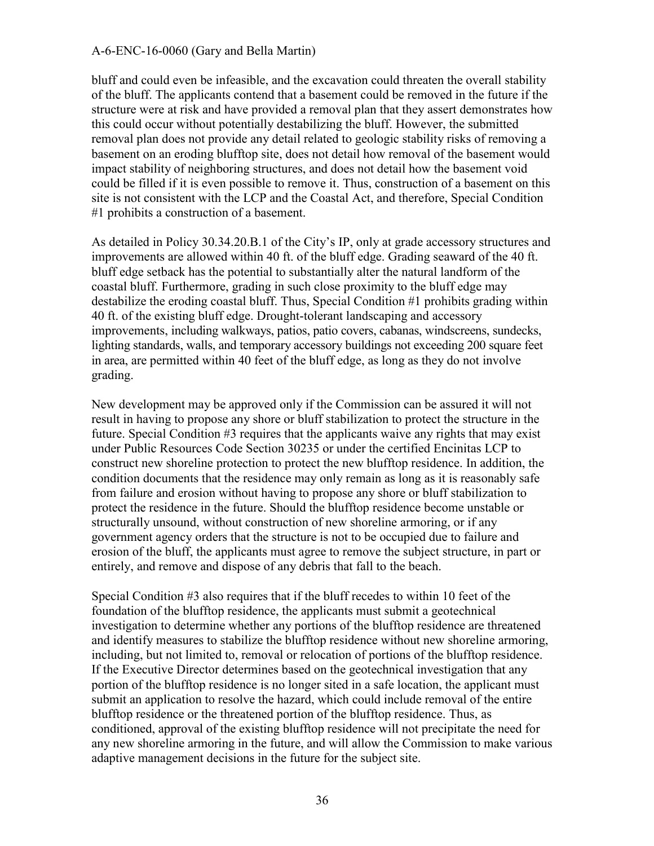bluff and could even be infeasible, and the excavation could threaten the overall stability of the bluff. The applicants contend that a basement could be removed in the future if the structure were at risk and have provided a removal plan that they assert demonstrates how this could occur without potentially destabilizing the bluff. However, the submitted removal plan does not provide any detail related to geologic stability risks of removing a basement on an eroding blufftop site, does not detail how removal of the basement would impact stability of neighboring structures, and does not detail how the basement void could be filled if it is even possible to remove it. Thus, construction of a basement on this site is not consistent with the LCP and the Coastal Act, and therefore, Special Condition #1 prohibits a construction of a basement.

As detailed in Policy 30.34.20.B.1 of the City's IP, only at grade accessory structures and improvements are allowed within 40 ft. of the bluff edge. Grading seaward of the 40 ft. bluff edge setback has the potential to substantially alter the natural landform of the coastal bluff. Furthermore, grading in such close proximity to the bluff edge may destabilize the eroding coastal bluff. Thus, Special Condition #1 prohibits grading within 40 ft. of the existing bluff edge. Drought-tolerant landscaping and accessory improvements, including walkways, patios, patio covers, cabanas, windscreens, sundecks, lighting standards, walls, and temporary accessory buildings not exceeding 200 square feet in area, are permitted within 40 feet of the bluff edge, as long as they do not involve grading.

New development may be approved only if the Commission can be assured it will not result in having to propose any shore or bluff stabilization to protect the structure in the future. Special Condition #3 requires that the applicants waive any rights that may exist under Public Resources Code Section 30235 or under the certified Encinitas LCP to construct new shoreline protection to protect the new blufftop residence. In addition, the condition documents that the residence may only remain as long as it is reasonably safe from failure and erosion without having to propose any shore or bluff stabilization to protect the residence in the future. Should the blufftop residence become unstable or structurally unsound, without construction of new shoreline armoring, or if any government agency orders that the structure is not to be occupied due to failure and erosion of the bluff, the applicants must agree to remove the subject structure, in part or entirely, and remove and dispose of any debris that fall to the beach.

Special Condition #3 also requires that if the bluff recedes to within 10 feet of the foundation of the blufftop residence, the applicants must submit a geotechnical investigation to determine whether any portions of the blufftop residence are threatened and identify measures to stabilize the blufftop residence without new shoreline armoring, including, but not limited to, removal or relocation of portions of the blufftop residence. If the Executive Director determines based on the geotechnical investigation that any portion of the blufftop residence is no longer sited in a safe location, the applicant must submit an application to resolve the hazard, which could include removal of the entire blufftop residence or the threatened portion of the blufftop residence. Thus, as conditioned, approval of the existing blufftop residence will not precipitate the need for any new shoreline armoring in the future, and will allow the Commission to make various adaptive management decisions in the future for the subject site.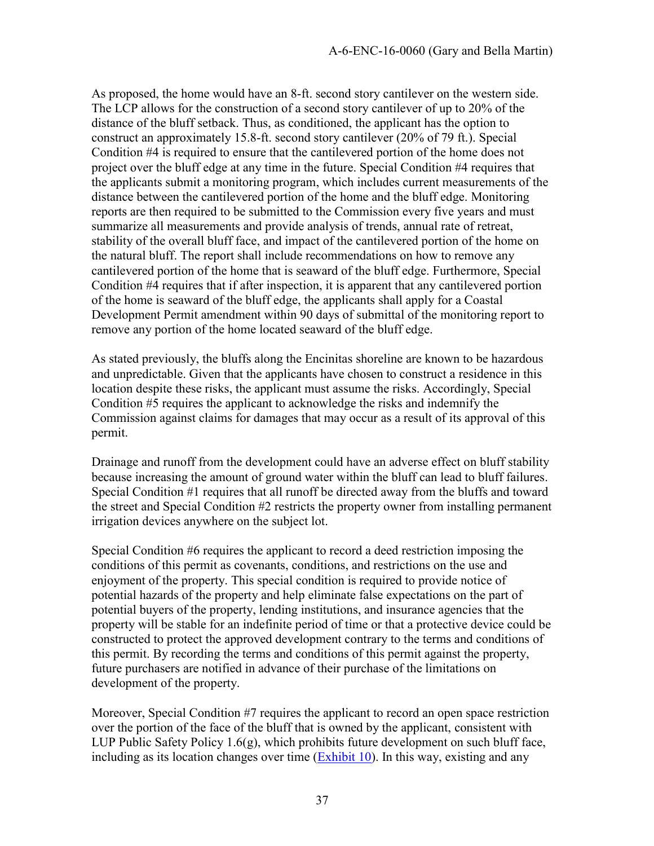As proposed, the home would have an 8-ft. second story cantilever on the western side. The LCP allows for the construction of a second story cantilever of up to 20% of the distance of the bluff setback. Thus, as conditioned, the applicant has the option to construct an approximately 15.8-ft. second story cantilever (20% of 79 ft.). Special Condition #4 is required to ensure that the cantilevered portion of the home does not project over the bluff edge at any time in the future. Special Condition #4 requires that the applicants submit a monitoring program, which includes current measurements of the distance between the cantilevered portion of the home and the bluff edge. Monitoring reports are then required to be submitted to the Commission every five years and must summarize all measurements and provide analysis of trends, annual rate of retreat, stability of the overall bluff face, and impact of the cantilevered portion of the home on the natural bluff. The report shall include recommendations on how to remove any cantilevered portion of the home that is seaward of the bluff edge. Furthermore, Special Condition #4 requires that if after inspection, it is apparent that any cantilevered portion of the home is seaward of the bluff edge, the applicants shall apply for a Coastal Development Permit amendment within 90 days of submittal of the monitoring report to remove any portion of the home located seaward of the bluff edge.

As stated previously, the bluffs along the Encinitas shoreline are known to be hazardous and unpredictable. Given that the applicants have chosen to construct a residence in this location despite these risks, the applicant must assume the risks. Accordingly, Special Condition #5 requires the applicant to acknowledge the risks and indemnify the Commission against claims for damages that may occur as a result of its approval of this permit.

Drainage and runoff from the development could have an adverse effect on bluff stability because increasing the amount of ground water within the bluff can lead to bluff failures. Special Condition #1 requires that all runoff be directed away from the bluffs and toward the street and Special Condition #2 restricts the property owner from installing permanent irrigation devices anywhere on the subject lot.

Special Condition #6 requires the applicant to record a deed restriction imposing the conditions of this permit as covenants, conditions, and restrictions on the use and enjoyment of the property. This special condition is required to provide notice of potential hazards of the property and help eliminate false expectations on the part of potential buyers of the property, lending institutions, and insurance agencies that the property will be stable for an indefinite period of time or that a protective device could be constructed to protect the approved development contrary to the terms and conditions of this permit. By recording the terms and conditions of this permit against the property, future purchasers are notified in advance of their purchase of the limitations on development of the property.

Moreover, Special Condition #7 requires the applicant to record an open space restriction over the portion of the face of the bluff that is owned by the applicant, consistent with LUP Public Safety Policy 1.6(g), which prohibits future development on such bluff face, including as its location changes over time  $(Exhibit 10)$ . In this way, existing and any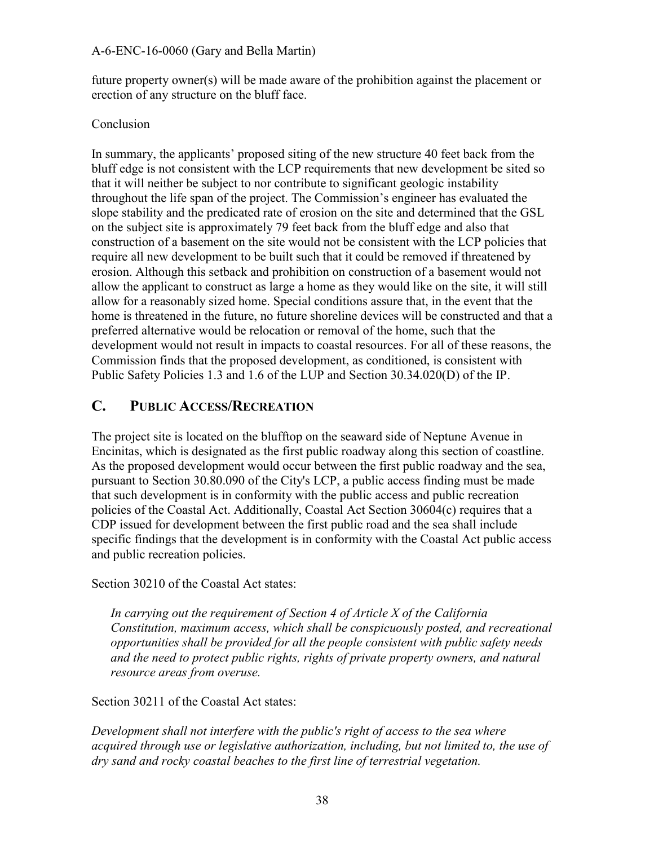future property owner(s) will be made aware of the prohibition against the placement or erection of any structure on the bluff face.

#### Conclusion

In summary, the applicants' proposed siting of the new structure 40 feet back from the bluff edge is not consistent with the LCP requirements that new development be sited so that it will neither be subject to nor contribute to significant geologic instability throughout the life span of the project. The Commission's engineer has evaluated the slope stability and the predicated rate of erosion on the site and determined that the GSL on the subject site is approximately 79 feet back from the bluff edge and also that construction of a basement on the site would not be consistent with the LCP policies that require all new development to be built such that it could be removed if threatened by erosion. Although this setback and prohibition on construction of a basement would not allow the applicant to construct as large a home as they would like on the site, it will still allow for a reasonably sized home. Special conditions assure that, in the event that the home is threatened in the future, no future shoreline devices will be constructed and that a preferred alternative would be relocation or removal of the home, such that the development would not result in impacts to coastal resources. For all of these reasons, the Commission finds that the proposed development, as conditioned, is consistent with Public Safety Policies 1.3 and 1.6 of the LUP and Section 30.34.020(D) of the IP.

### <span id="page-37-0"></span>**C. PUBLIC ACCESS/RECREATION**

The project site is located on the blufftop on the seaward side of Neptune Avenue in Encinitas, which is designated as the first public roadway along this section of coastline. As the proposed development would occur between the first public roadway and the sea, pursuant to Section 30.80.090 of the City's LCP, a public access finding must be made that such development is in conformity with the public access and public recreation policies of the Coastal Act. Additionally, Coastal Act Section 30604(c) requires that a CDP issued for development between the first public road and the sea shall include specific findings that the development is in conformity with the Coastal Act public access and public recreation policies.

Section 30210 of the Coastal Act states:

*In carrying out the requirement of Section 4 of Article X of the California Constitution, maximum access, which shall be conspicuously posted, and recreational opportunities shall be provided for all the people consistent with public safety needs and the need to protect public rights, rights of private property owners, and natural resource areas from overuse.* 

Section 30211 of the Coastal Act states:

*Development shall not interfere with the public's right of access to the sea where acquired through use or legislative authorization, including, but not limited to, the use of dry sand and rocky coastal beaches to the first line of terrestrial vegetation.*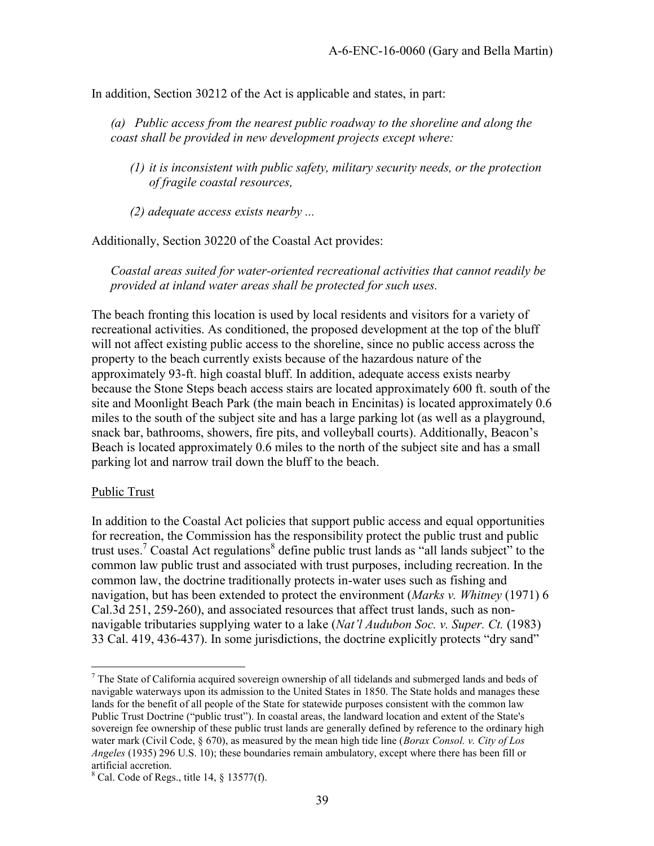In addition, Section 30212 of the Act is applicable and states, in part:

*(a) Public access from the nearest public roadway to the shoreline and along the coast shall be provided in new development projects except where:* 

*(1) it is inconsistent with public safety, military security needs, or the protection of fragile coastal resources,* 

*(2) adequate access exists nearby ...* 

Additionally, Section 30220 of the Coastal Act provides:

*Coastal areas suited for water-oriented recreational activities that cannot readily be provided at inland water areas shall be protected for such uses.* 

The beach fronting this location is used by local residents and visitors for a variety of recreational activities. As conditioned, the proposed development at the top of the bluff will not affect existing public access to the shoreline, since no public access across the property to the beach currently exists because of the hazardous nature of the approximately 93-ft. high coastal bluff. In addition, adequate access exists nearby because the Stone Steps beach access stairs are located approximately 600 ft. south of the site and Moonlight Beach Park (the main beach in Encinitas) is located approximately 0.6 miles to the south of the subject site and has a large parking lot (as well as a playground, snack bar, bathrooms, showers, fire pits, and volleyball courts). Additionally, Beacon's Beach is located approximately 0.6 miles to the north of the subject site and has a small parking lot and narrow trail down the bluff to the beach.

#### Public Trust

In addition to the Coastal Act policies that support public access and equal opportunities for recreation, the Commission has the responsibility protect the public trust and public trust uses.<sup>7</sup> Coastal Act regulations<sup>8</sup> define public trust lands as "all lands subject" to the common law public trust and associated with trust purposes, including recreation. In the common law, the doctrine traditionally protects in-water uses such as fishing and navigation, but has been extended to protect the environment (*Marks v. Whitney* (1971) 6 Cal.3d 251, 259-260), and associated resources that affect trust lands, such as nonnavigable tributaries supplying water to a lake (*Nat'l Audubon Soc. v. Super. Ct.* (1983) 33 Cal. 419, 436-437). In some jurisdictions, the doctrine explicitly protects "dry sand"

 $\overline{a}$  $7$  The State of California acquired sovereign ownership of all tidelands and submerged lands and beds of navigable waterways upon its admission to the United States in 1850. The State holds and manages these lands for the benefit of all people of the State for statewide purposes consistent with the common law Public Trust Doctrine ("public trust"). In coastal areas, the landward location and extent of the State's sovereign fee ownership of these public trust lands are generally defined by reference to the ordinary high water mark (Civil Code, § 670), as measured by the mean high tide line (*Borax Consol. v. City of Los Angeles* (1935) 296 U.S. 10); these boundaries remain ambulatory, except where there has been fill or artificial accretion.

 $8$  Cal. Code of Regs., title 14,  $§$  13577(f).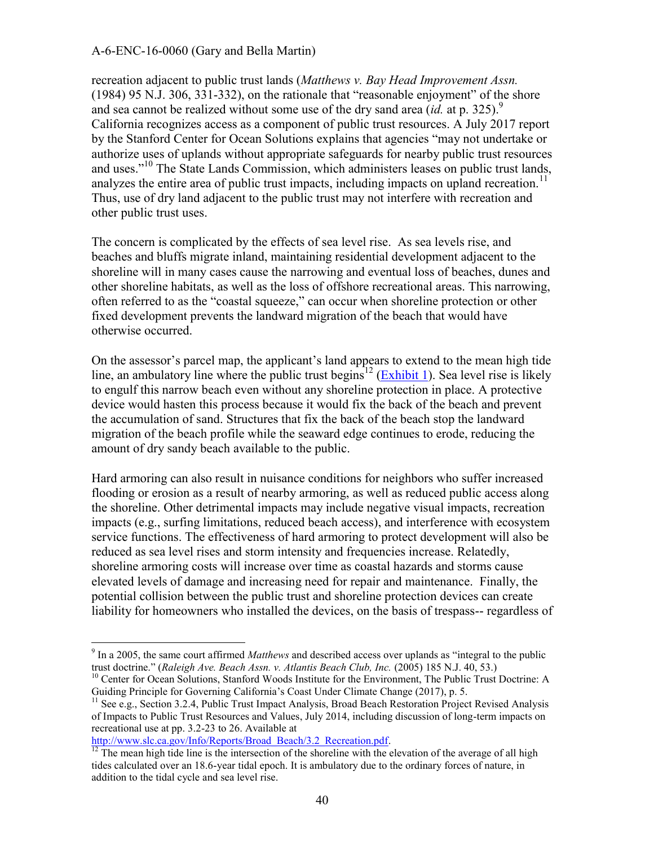recreation adjacent to public trust lands (*Matthews v. Bay Head Improvement Assn.*  (1984) 95 N.J. 306, 331-332), on the rationale that "reasonable enjoyment" of the shore and sea cannot be realized without some use of the dry sand area *(id.* at p. 325).<sup>9</sup> California recognizes access as a component of public trust resources. A July 2017 report by the Stanford Center for Ocean Solutions explains that agencies "may not undertake or authorize uses of uplands without appropriate safeguards for nearby public trust resources and uses."<sup>10</sup> The State Lands Commission, which administers leases on public trust lands, analyzes the entire area of public trust impacts, including impacts on upland recreation.<sup>11</sup> Thus, use of dry land adjacent to the public trust may not interfere with recreation and other public trust uses.

The concern is complicated by the effects of sea level rise. As sea levels rise, and beaches and bluffs migrate inland, maintaining residential development adjacent to the shoreline will in many cases cause the narrowing and eventual loss of beaches, dunes and other shoreline habitats, as well as the loss of offshore recreational areas. This narrowing, often referred to as the "coastal squeeze," can occur when shoreline protection or other fixed development prevents the landward migration of the beach that would have otherwise occurred.

On the assessor's parcel map, the applicant's land appears to extend to the mean high tide line, an ambulatory line where the public trust begins<sup>12</sup> [\(Exhibit 1\)](https://documents.coastal.ca.gov/reports/2018/8/w20a/w20a-8-2018-exhibits.pdf). Sea level rise is likely to engulf this narrow beach even without any shoreline protection in place. A protective device would hasten this process because it would fix the back of the beach and prevent the accumulation of sand. Structures that fix the back of the beach stop the landward migration of the beach profile while the seaward edge continues to erode, reducing the amount of dry sandy beach available to the public.

Hard armoring can also result in nuisance conditions for neighbors who suffer increased flooding or erosion as a result of nearby armoring, as well as reduced public access along the shoreline. Other detrimental impacts may include negative visual impacts, recreation impacts (e.g., surfing limitations, reduced beach access), and interference with ecosystem service functions. The effectiveness of hard armoring to protect development will also be reduced as sea level rises and storm intensity and frequencies increase. Relatedly, shoreline armoring costs will increase over time as coastal hazards and storms cause elevated levels of damage and increasing need for repair and maintenance. Finally, the potential collision between the public trust and shoreline protection devices can create liability for homeowners who installed the devices, on the basis of trespass-- regardless of

 $\overline{a}$ 

<sup>9</sup> In a 2005, the same court affirmed *Matthews* and described access over uplands as "integral to the public trust doctrine." (*Raleigh Ave. Beach Assn. v. Atlantis Beach Club, Inc.* (2005) 185 N.J. 40, 53.)

<sup>&</sup>lt;sup>10</sup> Center for Ocean Solutions, Stanford Woods Institute for the Environment, The Public Trust Doctrine: A Guiding Principle for Governing California's Coast Under Climate Change (2017), p. 5.

<sup>&</sup>lt;sup>11</sup> See e.g., Section 3.2.4, Public Trust Impact Analysis, Broad Beach Restoration Project Revised Analysis of Impacts to Public Trust Resources and Values, July 2014, including discussion of long-term impacts on recreational use at pp. 3.2-23 to 26. Available at

[http://www.slc.ca.gov/Info/Reports/Broad\\_Beach/3.2\\_Recreation.pdf.](http://www.slc.ca.gov/Info/Reports/Broad_Beach/3.2_Recreation.pdf)

 $\frac{12}{12}$  The mean high tide line is the intersection of the shoreline with the elevation of the average of all high tides calculated over an 18.6-year tidal epoch. It is ambulatory due to the ordinary forces of nature, in addition to the tidal cycle and sea level rise.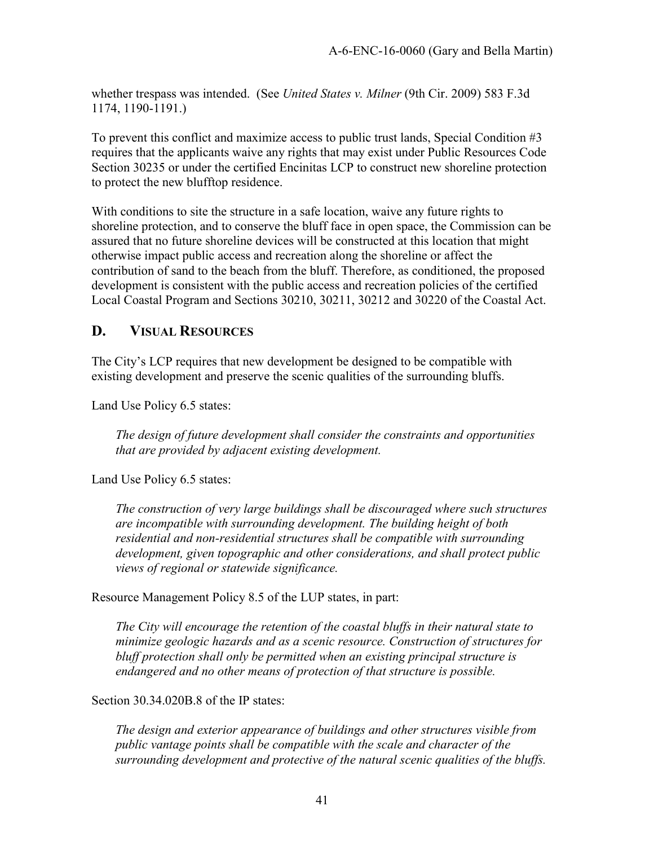whether trespass was intended. (See *United States v. Milner* (9th Cir. 2009) 583 F.3d 1174, 1190-1191.)

To prevent this conflict and maximize access to public trust lands, Special Condition #3 requires that the applicants waive any rights that may exist under Public Resources Code Section 30235 or under the certified Encinitas LCP to construct new shoreline protection to protect the new blufftop residence.

With conditions to site the structure in a safe location, waive any future rights to shoreline protection, and to conserve the bluff face in open space, the Commission can be assured that no future shoreline devices will be constructed at this location that might otherwise impact public access and recreation along the shoreline or affect the contribution of sand to the beach from the bluff. Therefore, as conditioned, the proposed development is consistent with the public access and recreation policies of the certified Local Coastal Program and Sections 30210, 30211, 30212 and 30220 of the Coastal Act.

### <span id="page-40-0"></span>**D. VISUAL RESOURCES**

The City's LCP requires that new development be designed to be compatible with existing development and preserve the scenic qualities of the surrounding bluffs.

Land Use Policy 6.5 states:

*The design of future development shall consider the constraints and opportunities that are provided by adjacent existing development.* 

Land Use Policy 6.5 states:

*The construction of very large buildings shall be discouraged where such structures are incompatible with surrounding development. The building height of both residential and non-residential structures shall be compatible with surrounding development, given topographic and other considerations, and shall protect public views of regional or statewide significance.* 

Resource Management Policy 8.5 of the LUP states, in part:

*The City will encourage the retention of the coastal bluffs in their natural state to minimize geologic hazards and as a scenic resource. Construction of structures for bluff protection shall only be permitted when an existing principal structure is endangered and no other means of protection of that structure is possible.* 

Section 30.34.020B.8 of the IP states:

*The design and exterior appearance of buildings and other structures visible from public vantage points shall be compatible with the scale and character of the surrounding development and protective of the natural scenic qualities of the bluffs.*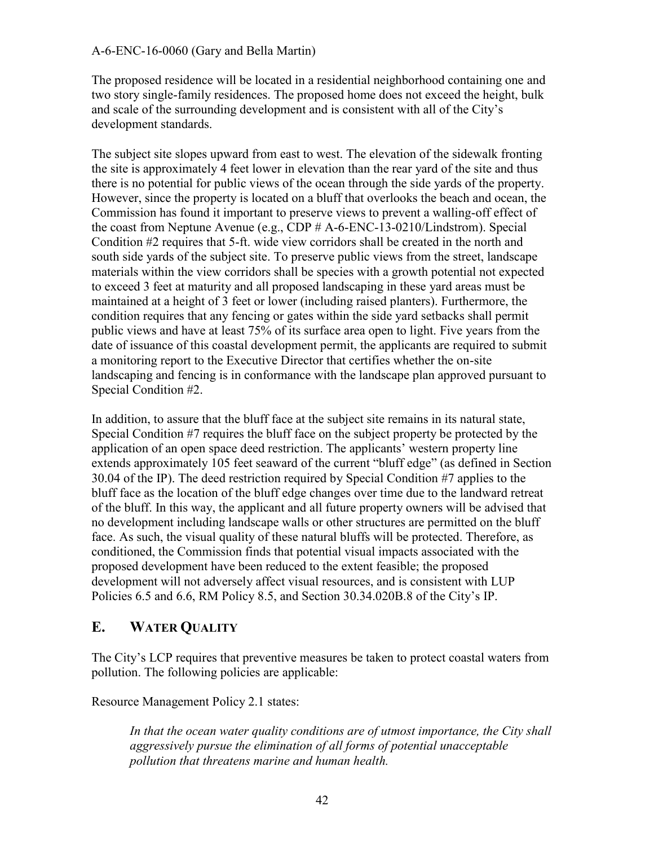The proposed residence will be located in a residential neighborhood containing one and two story single-family residences. The proposed home does not exceed the height, bulk and scale of the surrounding development and is consistent with all of the City's development standards.

The subject site slopes upward from east to west. The elevation of the sidewalk fronting the site is approximately 4 feet lower in elevation than the rear yard of the site and thus there is no potential for public views of the ocean through the side yards of the property. However, since the property is located on a bluff that overlooks the beach and ocean, the Commission has found it important to preserve views to prevent a walling-off effect of the coast from Neptune Avenue (e.g., CDP # A-6-ENC-13-0210/Lindstrom). Special Condition #2 requires that 5-ft. wide view corridors shall be created in the north and south side yards of the subject site. To preserve public views from the street, landscape materials within the view corridors shall be species with a growth potential not expected to exceed 3 feet at maturity and all proposed landscaping in these yard areas must be maintained at a height of 3 feet or lower (including raised planters). Furthermore, the condition requires that any fencing or gates within the side yard setbacks shall permit public views and have at least 75% of its surface area open to light. Five years from the date of issuance of this coastal development permit, the applicants are required to submit a monitoring report to the Executive Director that certifies whether the on-site landscaping and fencing is in conformance with the landscape plan approved pursuant to Special Condition #2.

In addition, to assure that the bluff face at the subject site remains in its natural state, Special Condition #7 requires the bluff face on the subject property be protected by the application of an open space deed restriction. The applicants' western property line extends approximately 105 feet seaward of the current "bluff edge" (as defined in Section 30.04 of the IP). The deed restriction required by Special Condition #7 applies to the bluff face as the location of the bluff edge changes over time due to the landward retreat of the bluff. In this way, the applicant and all future property owners will be advised that no development including landscape walls or other structures are permitted on the bluff face. As such, the visual quality of these natural bluffs will be protected. Therefore, as conditioned, the Commission finds that potential visual impacts associated with the proposed development have been reduced to the extent feasible; the proposed development will not adversely affect visual resources, and is consistent with LUP Policies 6.5 and 6.6, RM Policy 8.5, and Section 30.34.020B.8 of the City's IP.

### <span id="page-41-0"></span>**E. WATER QUALITY**

The City's LCP requires that preventive measures be taken to protect coastal waters from pollution. The following policies are applicable:

Resource Management Policy 2.1 states:

*In that the ocean water quality conditions are of utmost importance, the City shall aggressively pursue the elimination of all forms of potential unacceptable pollution that threatens marine and human health.*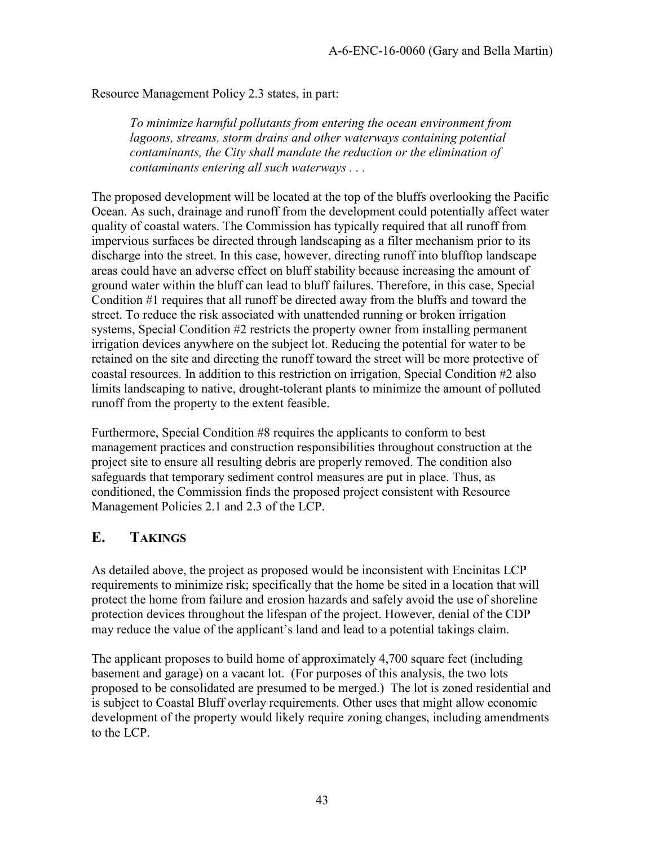Resource Management Policy 2.3 states, in part:

*To minimize harmful pollutants from entering the ocean environment from lagoons, streams, storm drains and other waterways containing potential contaminants, the City shall mandate the reduction or the elimination of contaminants entering all such waterways . . .* 

The proposed development will be located at the top of the bluffs overlooking the Pacific Ocean. As such, drainage and runoff from the development could potentially affect water quality of coastal waters. The Commission has typically required that all runoff from impervious surfaces be directed through landscaping as a filter mechanism prior to its discharge into the street. In this case, however, directing runoff into blufftop landscape areas could have an adverse effect on bluff stability because increasing the amount of ground water within the bluff can lead to bluff failures. Therefore, in this case, Special Condition #1 requires that all runoff be directed away from the bluffs and toward the street. To reduce the risk associated with unattended running or broken irrigation systems, Special Condition #2 restricts the property owner from installing permanent irrigation devices anywhere on the subject lot. Reducing the potential for water to be retained on the site and directing the runoff toward the street will be more protective of coastal resources. In addition to this restriction on irrigation, Special Condition #2 also limits landscaping to native, drought-tolerant plants to minimize the amount of polluted runoff from the property to the extent feasible.

Furthermore, Special Condition #8 requires the applicants to conform to best management practices and construction responsibilities throughout construction at the project site to ensure all resulting debris are properly removed. The condition also safeguards that temporary sediment control measures are put in place. Thus, as conditioned, the Commission finds the proposed project consistent with Resource Management Policies 2.1 and 2.3 of the LCP.

### <span id="page-42-0"></span>**E. TAKINGS**

As detailed above, the project as proposed would be inconsistent with Encinitas LCP requirements to minimize risk; specifically that the home be sited in a location that will protect the home from failure and erosion hazards and safely avoid the use of shoreline protection devices throughout the lifespan of the project. However, denial of the CDP may reduce the value of the applicant's land and lead to a potential takings claim.

The applicant proposes to build home of approximately 4,700 square feet (including basement and garage) on a vacant lot. (For purposes of this analysis, the two lots proposed to be consolidated are presumed to be merged.) The lot is zoned residential and is subject to Coastal Bluff overlay requirements. Other uses that might allow economic development of the property would likely require zoning changes, including amendments to the LCP.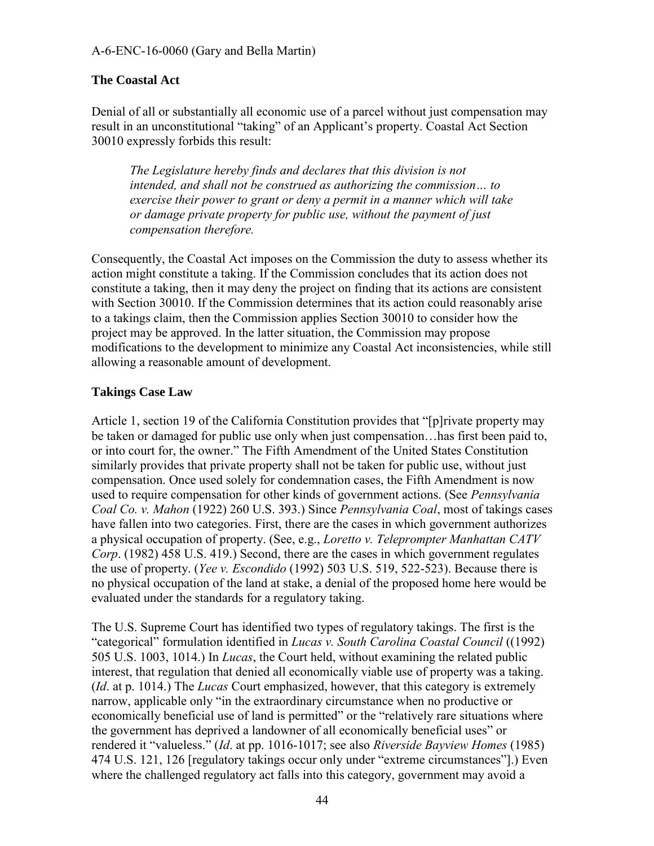#### **The Coastal Act**

Denial of all or substantially all economic use of a parcel without just compensation may result in an unconstitutional "taking" of an Applicant's property. Coastal Act Section 30010 expressly forbids this result:

*The Legislature hereby finds and declares that this division is not intended, and shall not be construed as authorizing the commission… to exercise their power to grant or deny a permit in a manner which will take or damage private property for public use, without the payment of just compensation therefore.* 

Consequently, the Coastal Act imposes on the Commission the duty to assess whether its action might constitute a taking. If the Commission concludes that its action does not constitute a taking, then it may deny the project on finding that its actions are consistent with Section 30010. If the Commission determines that its action could reasonably arise to a takings claim, then the Commission applies Section 30010 to consider how the project may be approved. In the latter situation, the Commission may propose modifications to the development to minimize any Coastal Act inconsistencies, while still allowing a reasonable amount of development.

#### **Takings Case Law**

Article 1, section 19 of the California Constitution provides that "[p]rivate property may be taken or damaged for public use only when just compensation…has first been paid to, or into court for, the owner." The Fifth Amendment of the United States Constitution similarly provides that private property shall not be taken for public use, without just compensation. Once used solely for condemnation cases, the Fifth Amendment is now used to require compensation for other kinds of government actions. (See *Pennsylvania Coal Co. v. Mahon* (1922) 260 U.S. 393.) Since *Pennsylvania Coal*, most of takings cases have fallen into two categories. First, there are the cases in which government authorizes a physical occupation of property. (See, e.g., *Loretto v. Teleprompter Manhattan CATV Corp*. (1982) 458 U.S. 419.) Second, there are the cases in which government regulates the use of property. (*Yee v. Escondido* (1992) 503 U.S. 519, 522-523). Because there is no physical occupation of the land at stake, a denial of the proposed home here would be evaluated under the standards for a regulatory taking.

The U.S. Supreme Court has identified two types of regulatory takings. The first is the "categorical" formulation identified in *Lucas v. South Carolina Coastal Council* ((1992) 505 U.S. 1003, 1014.) In *Lucas*, the Court held, without examining the related public interest, that regulation that denied all economically viable use of property was a taking. (*Id*. at p. 1014.) The *Lucas* Court emphasized, however, that this category is extremely narrow, applicable only "in the extraordinary circumstance when no productive or economically beneficial use of land is permitted" or the "relatively rare situations where the government has deprived a landowner of all economically beneficial uses" or rendered it "valueless." (*Id*. at pp. 1016-1017; see also *Riverside Bayview Homes* (1985) 474 U.S. 121, 126 [regulatory takings occur only under "extreme circumstances"].) Even where the challenged regulatory act falls into this category, government may avoid a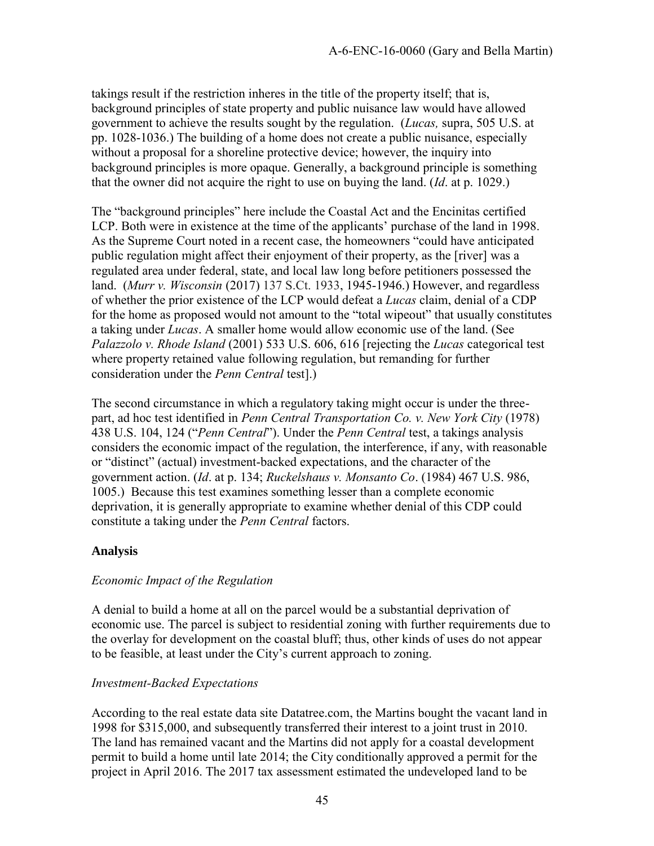takings result if the restriction inheres in the title of the property itself; that is, background principles of state property and public nuisance law would have allowed government to achieve the results sought by the regulation. (*Lucas,* supra, 505 U.S. at pp. 1028-1036.) The building of a home does not create a public nuisance, especially without a proposal for a shoreline protective device; however, the inquiry into background principles is more opaque. Generally, a background principle is something that the owner did not acquire the right to use on buying the land. (*Id*. at p. 1029.)

The "background principles" here include the Coastal Act and the Encinitas certified LCP. Both were in existence at the time of the applicants' purchase of the land in 1998. As the Supreme Court noted in a recent case, the homeowners "could have anticipated public regulation might affect their enjoyment of their property, as the [river] was a regulated area under federal, state, and local law long before petitioners possessed the land. (*Murr v. Wisconsin* (2017) 137 S.Ct. 1933, 1945-1946.) However, and regardless of whether the prior existence of the LCP would defeat a *Lucas* claim, denial of a CDP for the home as proposed would not amount to the "total wipeout" that usually constitutes a taking under *Lucas*. A smaller home would allow economic use of the land. (See *Palazzolo v. Rhode Island* (2001) 533 U.S. 606, 616 [rejecting the *Lucas* categorical test where property retained value following regulation, but remanding for further consideration under the *Penn Central* test].)

The second circumstance in which a regulatory taking might occur is under the threepart, ad hoc test identified in *Penn Central Transportation Co. v. New York City* (1978) 438 U.S. 104, 124 ("*Penn Central*"). Under the *Penn Central* test, a takings analysis considers the economic impact of the regulation, the interference, if any, with reasonable or "distinct" (actual) investment-backed expectations, and the character of the government action. (*Id*. at p. 134; *Ruckelshaus v. Monsanto Co*. (1984) 467 U.S. 986, 1005.) Because this test examines something lesser than a complete economic deprivation, it is generally appropriate to examine whether denial of this CDP could constitute a taking under the *Penn Central* factors.

#### **Analysis**

#### *Economic Impact of the Regulation*

A denial to build a home at all on the parcel would be a substantial deprivation of economic use. The parcel is subject to residential zoning with further requirements due to the overlay for development on the coastal bluff; thus, other kinds of uses do not appear to be feasible, at least under the City's current approach to zoning.

#### *Investment-Backed Expectations*

According to the real estate data site Datatree.com, the Martins bought the vacant land in 1998 for \$315,000, and subsequently transferred their interest to a joint trust in 2010. The land has remained vacant and the Martins did not apply for a coastal development permit to build a home until late 2014; the City conditionally approved a permit for the project in April 2016. The 2017 tax assessment estimated the undeveloped land to be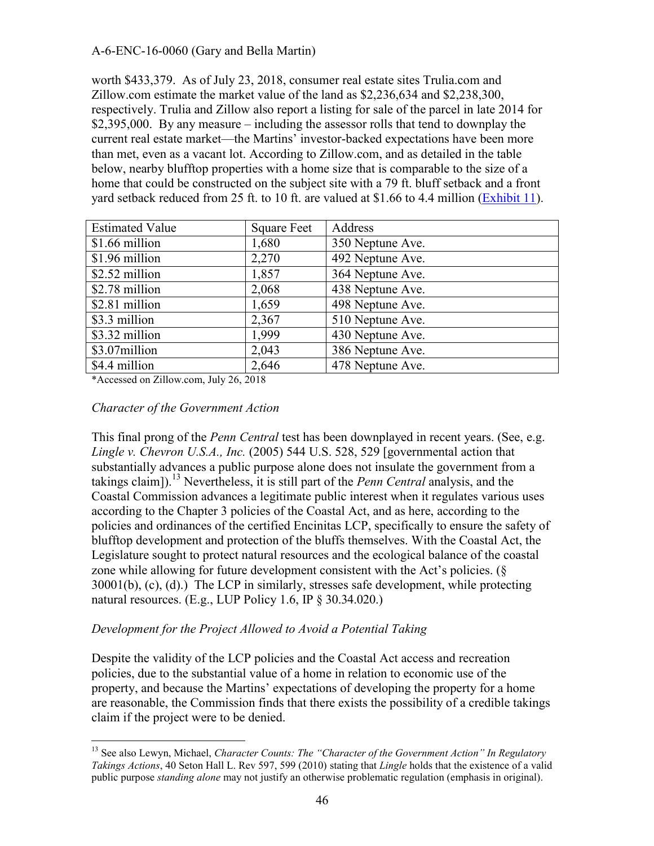worth \$433,379. As of July 23, 2018, consumer real estate sites Trulia.com and Zillow.com estimate the market value of the land as \$2,236,634 and \$2,238,300, respectively. Trulia and Zillow also report a listing for sale of the parcel in late 2014 for \$2,395,000. By any measure – including the assessor rolls that tend to downplay the current real estate market—the Martins' investor-backed expectations have been more than met, even as a vacant lot. According to Zillow.com, and as detailed in the table below, nearby blufftop properties with a home size that is comparable to the size of a home that could be constructed on the subject site with a 79 ft. bluff setback and a front yard setback reduced from 25 ft. to 10 ft. are valued at \$1.66 to 4.4 million [\(Exhibit 11\)](https://documents.coastal.ca.gov/reports/2018/8/w20a/w20a-8-2018-exhibits.pdf).

| <b>Estimated Value</b> | <b>Square Feet</b> | Address          |
|------------------------|--------------------|------------------|
| \$1.66 million         | 1,680              | 350 Neptune Ave. |
| \$1.96 million         | 2,270              | 492 Neptune Ave. |
| \$2.52 million         | 1,857              | 364 Neptune Ave. |
| \$2.78 million         | 2,068              | 438 Neptune Ave. |
| \$2.81 million         | 1,659              | 498 Neptune Ave. |
| \$3.3 million          | 2,367              | 510 Neptune Ave. |
| \$3.32 million         | 1,999              | 430 Neptune Ave. |
| \$3.07million          | 2,043              | 386 Neptune Ave. |
| \$4.4 million          | 2,646              | 478 Neptune Ave. |

\*Accessed on Zillow.com, July 26, 2018

#### *Character of the Government Action*

This final prong of the *Penn Central* test has been downplayed in recent years. (See, e.g. *Lingle v. Chevron U.S.A., Inc.* (2005) 544 U.S. 528, 529 [governmental action that substantially advances a public purpose alone does not insulate the government from a takings claim]).<sup>13</sup> Nevertheless, it is still part of the *Penn Central* analysis, and the Coastal Commission advances a legitimate public interest when it regulates various uses according to the Chapter 3 policies of the Coastal Act, and as here, according to the policies and ordinances of the certified Encinitas LCP, specifically to ensure the safety of blufftop development and protection of the bluffs themselves. With the Coastal Act, the Legislature sought to protect natural resources and the ecological balance of the coastal zone while allowing for future development consistent with the Act's policies. (§ 30001(b), (c), (d).) The LCP in similarly, stresses safe development, while protecting natural resources. (E.g., LUP Policy 1.6, IP § 30.34.020.)

#### *Development for the Project Allowed to Avoid a Potential Taking*

Despite the validity of the LCP policies and the Coastal Act access and recreation policies, due to the substantial value of a home in relation to economic use of the property, and because the Martins' expectations of developing the property for a home are reasonable, the Commission finds that there exists the possibility of a credible takings claim if the project were to be denied.

 $\overline{a}$ <sup>13</sup> See also Lewyn, Michael, *Character Counts: The "Character of the Government Action" In Regulatory Takings Actions*, 40 Seton Hall L. Rev 597, 599 (2010) stating that *Lingle* holds that the existence of a valid public purpose *standing alone* may not justify an otherwise problematic regulation (emphasis in original).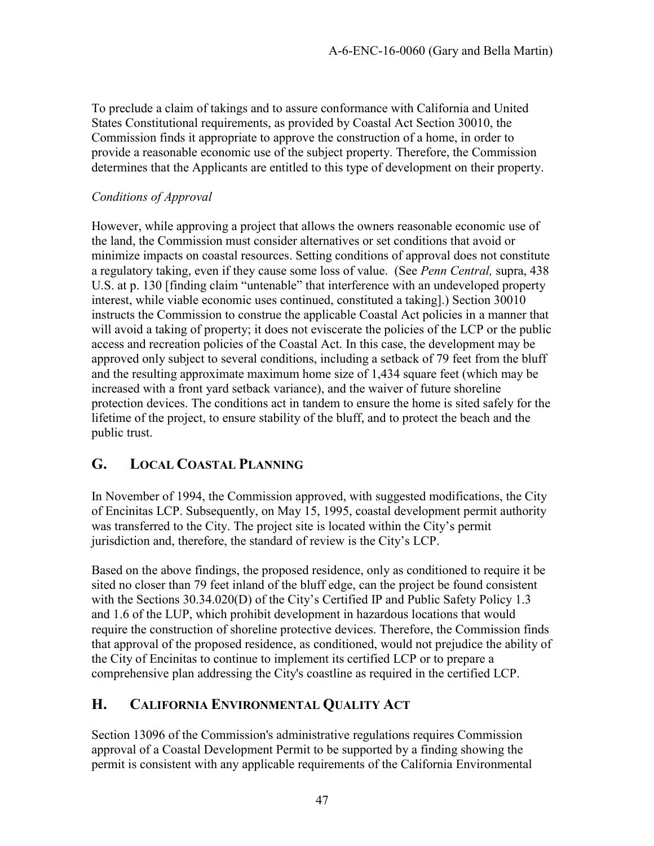To preclude a claim of takings and to assure conformance with California and United States Constitutional requirements, as provided by Coastal Act Section 30010, the Commission finds it appropriate to approve the construction of a home, in order to provide a reasonable economic use of the subject property. Therefore, the Commission determines that the Applicants are entitled to this type of development on their property.

#### *Conditions of Approval*

However, while approving a project that allows the owners reasonable economic use of the land, the Commission must consider alternatives or set conditions that avoid or minimize impacts on coastal resources. Setting conditions of approval does not constitute a regulatory taking, even if they cause some loss of value. (See *Penn Central,* supra, 438 U.S. at p. 130 [finding claim "untenable" that interference with an undeveloped property interest, while viable economic uses continued, constituted a taking].) Section 30010 instructs the Commission to construe the applicable Coastal Act policies in a manner that will avoid a taking of property; it does not eviscerate the policies of the LCP or the public access and recreation policies of the Coastal Act. In this case, the development may be approved only subject to several conditions, including a setback of 79 feet from the bluff and the resulting approximate maximum home size of 1,434 square feet (which may be increased with a front yard setback variance), and the waiver of future shoreline protection devices. The conditions act in tandem to ensure the home is sited safely for the lifetime of the project, to ensure stability of the bluff, and to protect the beach and the public trust.

### <span id="page-46-0"></span>**G. LOCAL COASTAL PLANNING**

In November of 1994, the Commission approved, with suggested modifications, the City of Encinitas LCP. Subsequently, on May 15, 1995, coastal development permit authority was transferred to the City. The project site is located within the City's permit jurisdiction and, therefore, the standard of review is the City's LCP.

Based on the above findings, the proposed residence, only as conditioned to require it be sited no closer than 79 feet inland of the bluff edge, can the project be found consistent with the Sections 30.34.020(D) of the City's Certified IP and Public Safety Policy 1.3 and 1.6 of the LUP, which prohibit development in hazardous locations that would require the construction of shoreline protective devices. Therefore, the Commission finds that approval of the proposed residence, as conditioned, would not prejudice the ability of the City of Encinitas to continue to implement its certified LCP or to prepare a comprehensive plan addressing the City's coastline as required in the certified LCP.

### <span id="page-46-1"></span>**H. CALIFORNIA ENVIRONMENTAL QUALITY ACT**

Section 13096 of the Commission's administrative regulations requires Commission approval of a Coastal Development Permit to be supported by a finding showing the permit is consistent with any applicable requirements of the California Environmental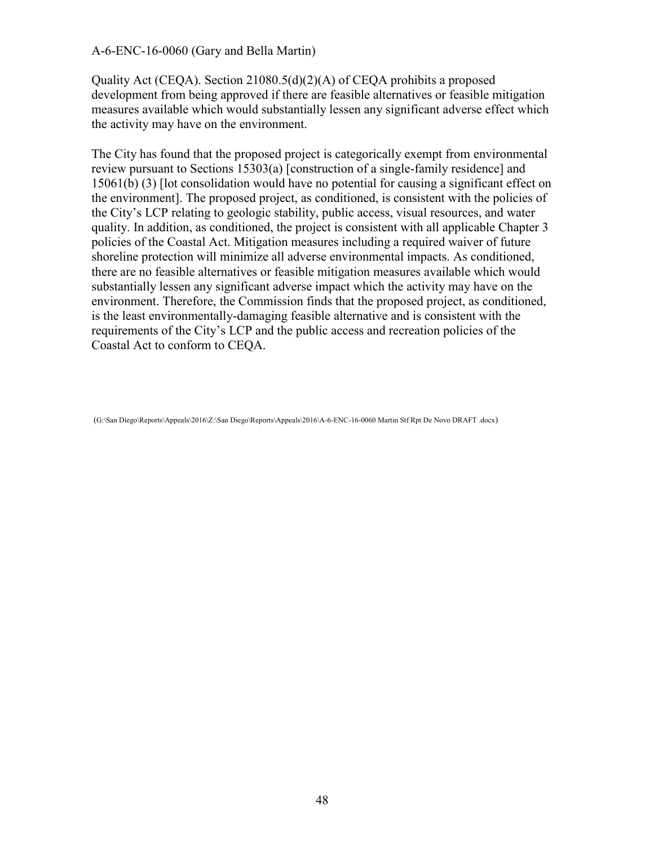Quality Act (CEQA). Section 21080.5(d)(2)(A) of CEQA prohibits a proposed development from being approved if there are feasible alternatives or feasible mitigation measures available which would substantially lessen any significant adverse effect which the activity may have on the environment.

The City has found that the proposed project is categorically exempt from environmental review pursuant to Sections 15303(a) [construction of a single-family residence] and 15061(b) (3) [lot consolidation would have no potential for causing a significant effect on the environment]. The proposed project, as conditioned, is consistent with the policies of the City's LCP relating to geologic stability, public access, visual resources, and water quality. In addition, as conditioned, the project is consistent with all applicable Chapter 3 policies of the Coastal Act. Mitigation measures including a required waiver of future shoreline protection will minimize all adverse environmental impacts. As conditioned, there are no feasible alternatives or feasible mitigation measures available which would substantially lessen any significant adverse impact which the activity may have on the environment. Therefore, the Commission finds that the proposed project, as conditioned, is the least environmentally-damaging feasible alternative and is consistent with the requirements of the City's LCP and the public access and recreation policies of the Coastal Act to conform to CEQA.

(G:\San Diego\Reports\Appeals\2016\Z:\San Diego\Reports\Appeals\2016\A-6-ENC-16-0060 Martin Stf Rpt De Novo DRAFT .docx)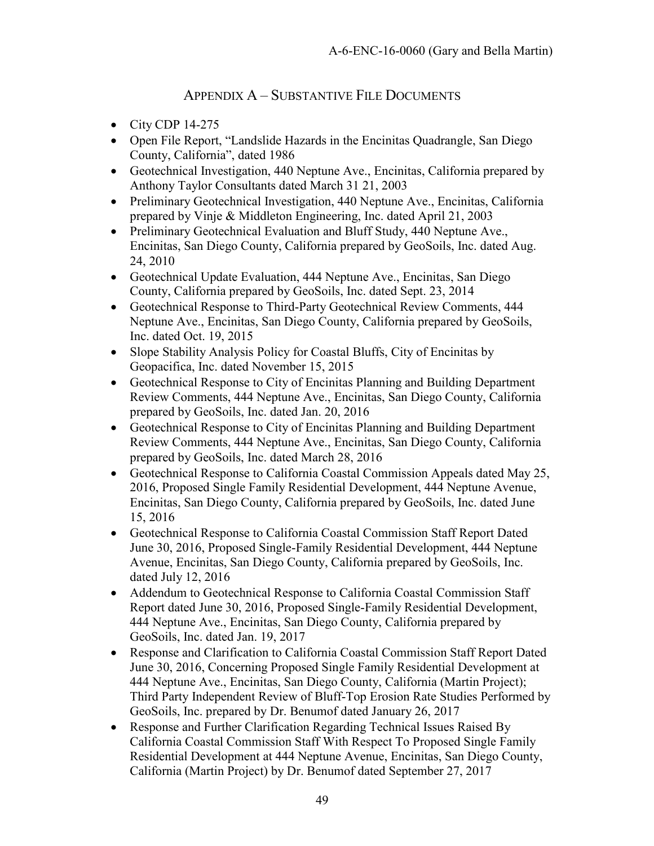### APPENDIX A – SUBSTANTIVE FILE DOCUMENTS

- <span id="page-48-0"></span> $\bullet$  City CDP 14-275
- Open File Report, "Landslide Hazards in the Encinitas Quadrangle, San Diego County, California", dated 1986
- Geotechnical Investigation, 440 Neptune Ave., Encinitas, California prepared by Anthony Taylor Consultants dated March 31 21, 2003
- Preliminary Geotechnical Investigation, 440 Neptune Ave., Encinitas, California prepared by Vinje & Middleton Engineering, Inc. dated April 21, 2003
- Preliminary Geotechnical Evaluation and Bluff Study, 440 Neptune Ave., Encinitas, San Diego County, California prepared by GeoSoils, Inc. dated Aug. 24, 2010
- Geotechnical Update Evaluation, 444 Neptune Ave., Encinitas, San Diego County, California prepared by GeoSoils, Inc. dated Sept. 23, 2014
- Geotechnical Response to Third-Party Geotechnical Review Comments, 444 Neptune Ave., Encinitas, San Diego County, California prepared by GeoSoils, Inc. dated Oct. 19, 2015
- Slope Stability Analysis Policy for Coastal Bluffs, City of Encinitas by Geopacifica, Inc. dated November 15, 2015
- Geotechnical Response to City of Encinitas Planning and Building Department Review Comments, 444 Neptune Ave., Encinitas, San Diego County, California prepared by GeoSoils, Inc. dated Jan. 20, 2016
- Geotechnical Response to City of Encinitas Planning and Building Department Review Comments, 444 Neptune Ave., Encinitas, San Diego County, California prepared by GeoSoils, Inc. dated March 28, 2016
- Geotechnical Response to California Coastal Commission Appeals dated May 25, 2016, Proposed Single Family Residential Development, 444 Neptune Avenue, Encinitas, San Diego County, California prepared by GeoSoils, Inc. dated June 15, 2016
- Geotechnical Response to California Coastal Commission Staff Report Dated June 30, 2016, Proposed Single-Family Residential Development, 444 Neptune Avenue, Encinitas, San Diego County, California prepared by GeoSoils, Inc. dated July 12, 2016
- Addendum to Geotechnical Response to California Coastal Commission Staff Report dated June 30, 2016, Proposed Single-Family Residential Development, 444 Neptune Ave., Encinitas, San Diego County, California prepared by GeoSoils, Inc. dated Jan. 19, 2017
- Response and Clarification to California Coastal Commission Staff Report Dated June 30, 2016, Concerning Proposed Single Family Residential Development at 444 Neptune Ave., Encinitas, San Diego County, California (Martin Project); Third Party Independent Review of Bluff-Top Erosion Rate Studies Performed by GeoSoils, Inc. prepared by Dr. Benumof dated January 26, 2017
- Response and Further Clarification Regarding Technical Issues Raised By California Coastal Commission Staff With Respect To Proposed Single Family Residential Development at 444 Neptune Avenue, Encinitas, San Diego County, California (Martin Project) by Dr. Benumof dated September 27, 2017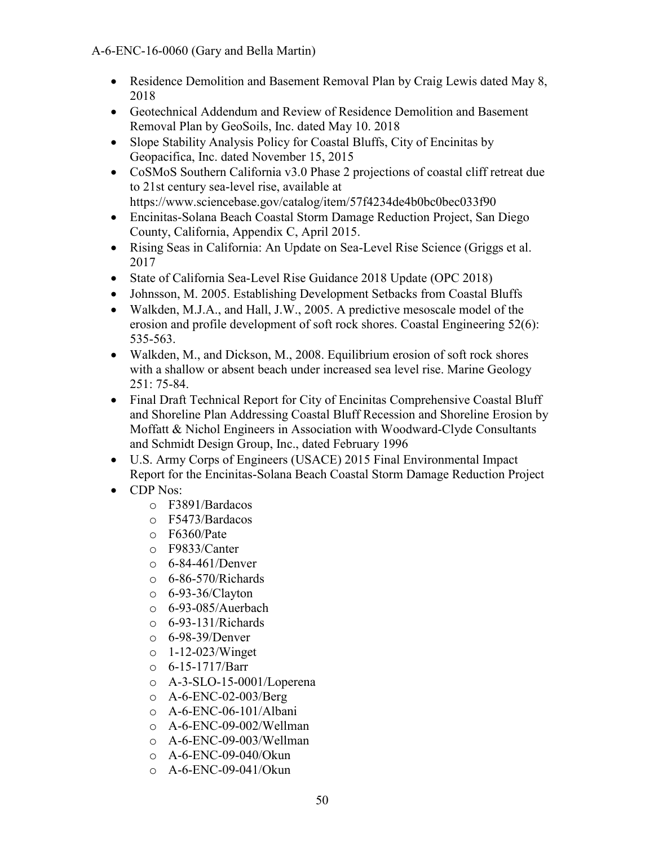- Residence Demolition and Basement Removal Plan by Craig Lewis dated May 8, 2018
- Geotechnical Addendum and Review of Residence Demolition and Basement Removal Plan by GeoSoils, Inc. dated May 10. 2018
- Slope Stability Analysis Policy for Coastal Bluffs, City of Encinitas by Geopacifica, Inc. dated November 15, 2015
- CoSMoS Southern California v3.0 Phase 2 projections of coastal cliff retreat due to 21st century sea-level rise, available at <https://www.sciencebase.gov/catalog/item/57f4234de4b0bc0bec033f90>
- Encinitas-Solana Beach Coastal Storm Damage Reduction Project, San Diego County, California, Appendix C, April 2015.
- Rising Seas in California: An Update on Sea-Level Rise Science (Griggs et al. 2017
- State of California Sea-Level Rise Guidance 2018 Update (OPC 2018)
- Johnsson, M. 2005. Establishing Development Setbacks from Coastal Bluffs
- Walkden, M.J.A., and Hall, J.W., 2005. A predictive mesoscale model of the erosion and profile development of soft rock shores. Coastal Engineering 52(6): 535-563.
- Walkden, M., and Dickson, M., 2008. Equilibrium erosion of soft rock shores with a shallow or absent beach under increased sea level rise. Marine Geology 251: 75-84.
- Final Draft Technical Report for City of Encinitas Comprehensive Coastal Bluff and Shoreline Plan Addressing Coastal Bluff Recession and Shoreline Erosion by Moffatt & Nichol Engineers in Association with Woodward-Clyde Consultants and Schmidt Design Group, Inc., dated February 1996
- U.S. Army Corps of Engineers (USACE) 2015 Final Environmental Impact Report for the Encinitas-Solana Beach Coastal Storm Damage Reduction Project
- CDP Nos:
	- o F3891/Bardacos
	- o F5473/Bardacos
	- o F6360/Pate
	- o F9833/Canter
	- o 6-84-461/Denver
	- o 6-86-570/Richards
	- o 6-93-36/Clayton
	- o 6-93-085/Auerbach
	- o 6-93-131/Richards
	- o 6-98-39/Denver
	- o 1-12-023/Winget
	- $\circ$  6-15-1717/Barr
	- o A-3-SLO-15-0001/Loperena
	- o A-6-ENC-02-003/Berg
	- o A-6-ENC-06-101/Albani
	- o A-6-ENC-09-002/Wellman
	- o A-6-ENC-09-003/Wellman
	- o A-6-ENC-09-040/Okun
	- o A-6-ENC-09-041/Okun